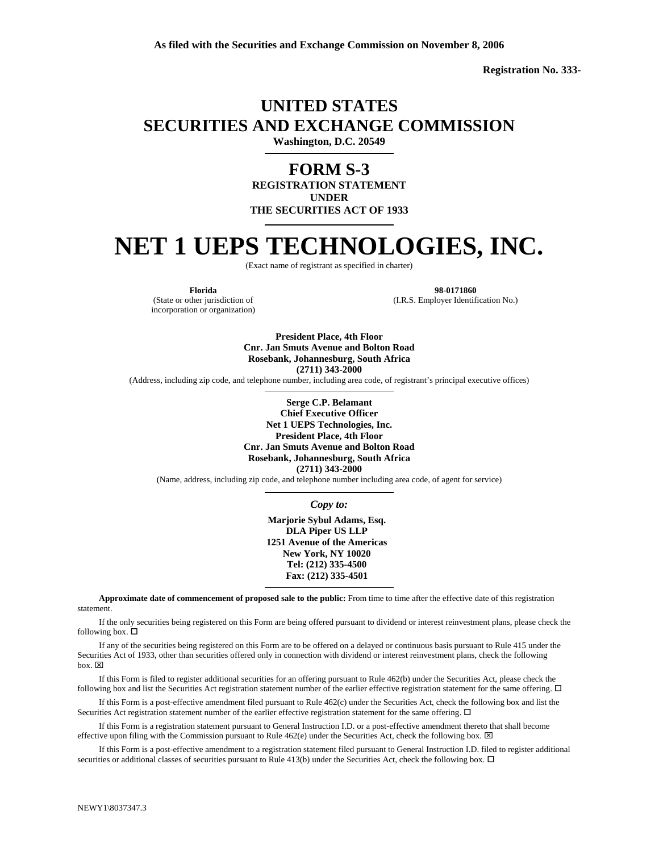**Registration No. 333-**

# **UNITED STATES SECURITIES AND EXCHANGE COMMISSION**

**Washington, D.C. 20549**

# **FORM S-3 REGISTRATION STATEMENT**

**UNDER** 

### **THE SECURITIES ACT OF 1933**

# **NET 1 UEPS TECHNOLOGIES, INC.**

(Exact name of registrant as specified in charter)

**Florida** 

(State or other jurisdiction of incorporation or organization)

**98-0171860**  (I.R.S. Employer Identification No.)

**President Place, 4th Floor Cnr. Jan Smuts Avenue and Bolton Road Rosebank, Johannesburg, South Africa (2711) 343-2000**

(Address, including zip code, and telephone number, including area code, of registrant's principal executive offices)

**Serge C.P. Belamant Chief Executive Officer Net 1 UEPS Technologies, Inc. President Place, 4th Floor Cnr. Jan Smuts Avenue and Bolton Road Rosebank, Johannesburg, South Africa (2711) 343-2000** 

(Name, address, including zip code, and telephone number including area code, of agent for service)

*Copy to:*

**Marjorie Sybul Adams, Esq. DLA Piper US LLP 1251 Avenue of the Americas New York, NY 10020 Tel: (212) 335-4500 Fax: (212) 335-4501**

**Approximate date of commencement of proposed sale to the public:** From time to time after the effective date of this registration statement.

If the only securities being registered on this Form are being offered pursuant to dividend or interest reinvestment plans, please check the following box.  $\Box$ 

If any of the securities being registered on this Form are to be offered on a delayed or continuous basis pursuant to Rule 415 under the Securities Act of 1933, other than securities offered only in connection with dividend or interest reinvestment plans, check the following  $box. \nboxtimes$ 

If this Form is filed to register additional securities for an offering pursuant to Rule 462(b) under the Securities Act, please check the following box and list the Securities Act registration statement number of the earlier effective registration statement for the same offering.  $\Box$ 

If this Form is a post-effective amendment filed pursuant to Rule 462(c) under the Securities Act, check the following box and list the Securities Act registration statement number of the earlier effective registration statement for the same offering.  $\Box$ 

If this Form is a registration statement pursuant to General Instruction I.D. or a post-effective amendment thereto that shall become effective upon filing with the Commission pursuant to Rule 462(e) under the Securities Act, check the following box.  $\boxtimes$ 

If this Form is a post-effective amendment to a registration statement filed pursuant to General Instruction I.D. filed to register additional securities or additional classes of securities pursuant to Rule 413(b) under the Securities Act, check the following box.  $\Box$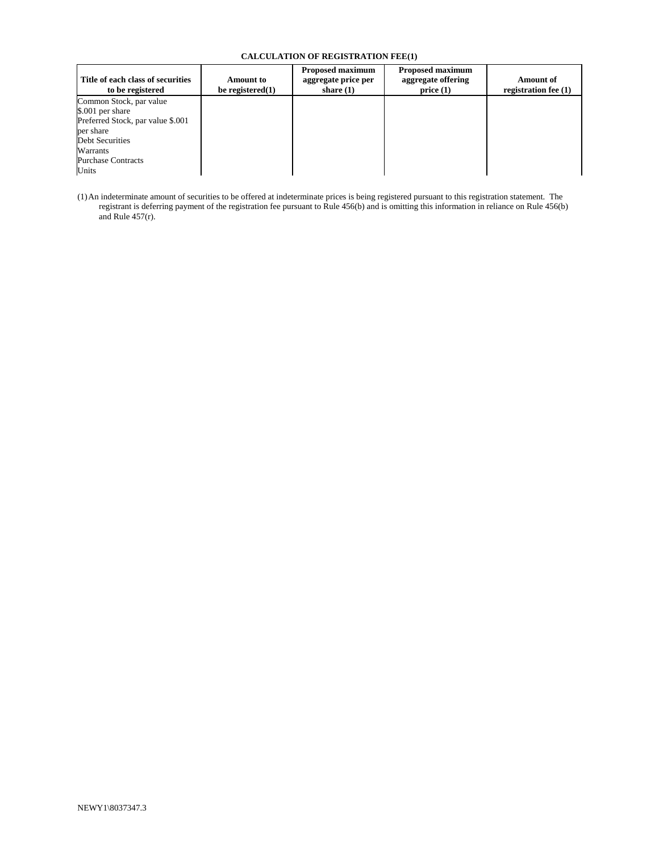#### **CALCULATION OF REGISTRATION FEE(1)**

| Title of each class of securities<br>to be registered | <b>Amount</b> to<br>be registered $(1)$ | <b>Proposed maximum</b><br>aggregate price per<br>share $(1)$ | <b>Proposed maximum</b><br>aggregate offering<br>price(1) | <b>Amount of</b><br>registration fee $(1)$ |
|-------------------------------------------------------|-----------------------------------------|---------------------------------------------------------------|-----------------------------------------------------------|--------------------------------------------|
| Common Stock, par value                               |                                         |                                                               |                                                           |                                            |
| \$.001 per share                                      |                                         |                                                               |                                                           |                                            |
| Preferred Stock, par value \$.001                     |                                         |                                                               |                                                           |                                            |
| per share                                             |                                         |                                                               |                                                           |                                            |
| <b>Debt Securities</b>                                |                                         |                                                               |                                                           |                                            |
| Warrants                                              |                                         |                                                               |                                                           |                                            |
| <b>Purchase Contracts</b>                             |                                         |                                                               |                                                           |                                            |
| Units                                                 |                                         |                                                               |                                                           |                                            |

(1)An indeterminate amount of securities to be offered at indeterminate prices is being registered pursuant to this registration statement. The registrant is deferring payment of the registration fee pursuant to Rule 456(b) and is omitting this information in reliance on Rule 456(b) and Rule 457(r).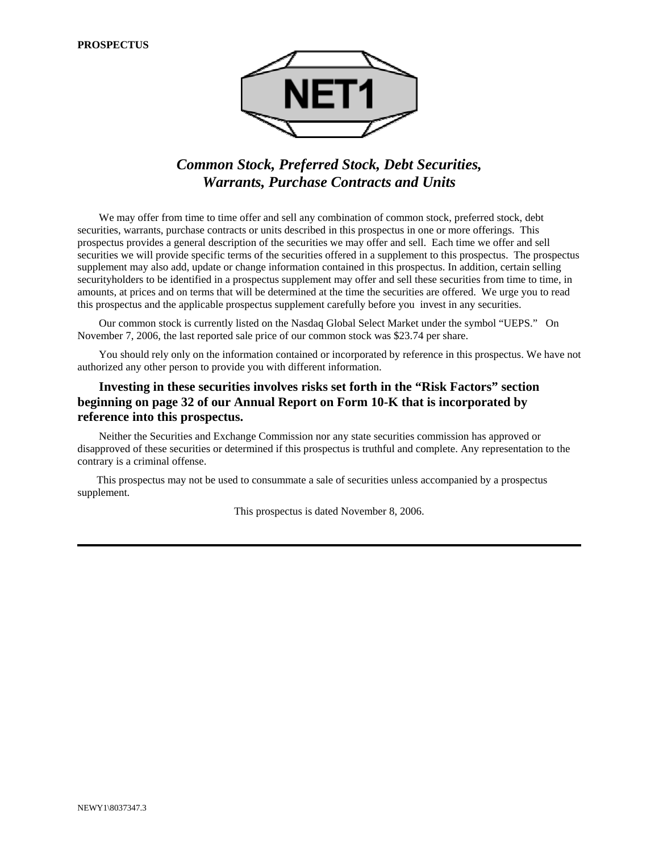

# *Common Stock, Preferred Stock, Debt Securities, Warrants, Purchase Contracts and Units*

We may offer from time to time offer and sell any combination of common stock, preferred stock, debt securities, warrants, purchase contracts or units described in this prospectus in one or more offerings. This prospectus provides a general description of the securities we may offer and sell. Each time we offer and sell securities we will provide specific terms of the securities offered in a supplement to this prospectus. The prospectus supplement may also add, update or change information contained in this prospectus. In addition, certain selling securityholders to be identified in a prospectus supplement may offer and sell these securities from time to time, in amounts, at prices and on terms that will be determined at the time the securities are offered. We urge you to read this prospectus and the applicable prospectus supplement carefully before you invest in any securities.

Our common stock is currently listed on the Nasdaq Global Select Market under the symbol "UEPS." On November 7, 2006, the last reported sale price of our common stock was \$23.74 per share.

You should rely only on the information contained or incorporated by reference in this prospectus. We have not authorized any other person to provide you with different information.

## **Investing in these securities involves risks set forth in the "Risk Factors" section beginning on page 32 of our Annual Report on Form 10-K that is incorporated by reference into this prospectus.**

Neither the Securities and Exchange Commission nor any state securities commission has approved or disapproved of these securities or determined if this prospectus is truthful and complete. Any representation to the contrary is a criminal offense.

This prospectus may not be used to consummate a sale of securities unless accompanied by a prospectus supplement.

This prospectus is dated November 8, 2006.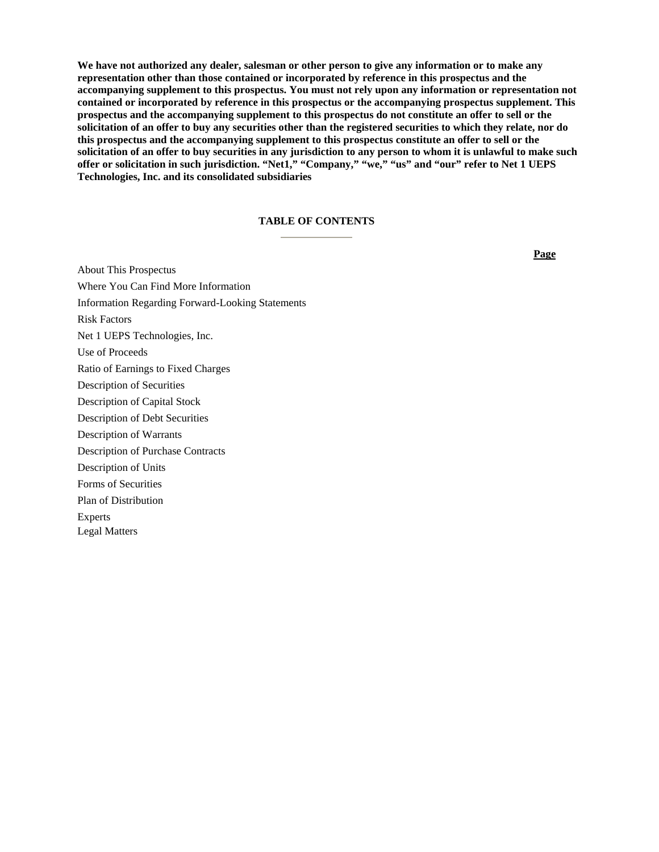**We have not authorized any dealer, salesman or other person to give any information or to make any representation other than those contained or incorporated by reference in this prospectus and the accompanying supplement to this prospectus. You must not rely upon any information or representation not contained or incorporated by reference in this prospectus or the accompanying prospectus supplement. This prospectus and the accompanying supplement to this prospectus do not constitute an offer to sell or the solicitation of an offer to buy any securities other than the registered securities to which they relate, nor do this prospectus and the accompanying supplement to this prospectus constitute an offer to sell or the solicitation of an offer to buy securities in any jurisdiction to any person to whom it is unlawful to make such offer or solicitation in such jurisdiction. "Net1," "Company," "we," "us" and "our" refer to Net 1 UEPS Technologies, Inc. and its consolidated subsidiaries** 

#### **TABLE OF CONTENTS**

**Page**

About This Prospectus Where You Can Find More Information Information Regarding Forward-Looking Statements Risk Factors Net 1 UEPS Technologies, Inc. Use of Proceeds Ratio of Earnings to Fixed Charges Description of Securities Description of Capital Stock Description of Debt Securities Description of Warrants Description of Purchase Contracts Description of Units Forms of Securities Plan of Distribution Experts **Experts** Legal Matters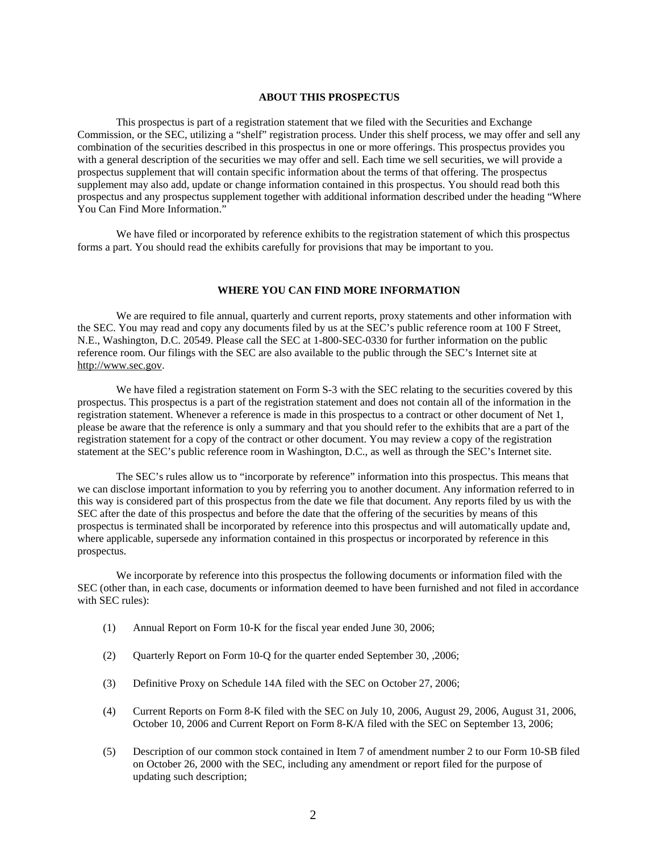#### **ABOUT THIS PROSPECTUS**

 This prospectus is part of a registration statement that we filed with the Securities and Exchange Commission, or the SEC, utilizing a "shelf" registration process. Under this shelf process, we may offer and sell any combination of the securities described in this prospectus in one or more offerings. This prospectus provides you with a general description of the securities we may offer and sell. Each time we sell securities, we will provide a prospectus supplement that will contain specific information about the terms of that offering. The prospectus supplement may also add, update or change information contained in this prospectus. You should read both this prospectus and any prospectus supplement together with additional information described under the heading "Where You Can Find More Information."

 We have filed or incorporated by reference exhibits to the registration statement of which this prospectus forms a part. You should read the exhibits carefully for provisions that may be important to you.

#### **WHERE YOU CAN FIND MORE INFORMATION**

We are required to file annual, quarterly and current reports, proxy statements and other information with the SEC. You may read and copy any documents filed by us at the SEC's public reference room at 100 F Street, N.E., Washington, D.C. 20549. Please call the SEC at 1-800-SEC-0330 for further information on the public reference room. Our filings with the SEC are also available to the public through the SEC's Internet site at http://www.sec.gov.

We have filed a registration statement on Form S-3 with the SEC relating to the securities covered by this prospectus. This prospectus is a part of the registration statement and does not contain all of the information in the registration statement. Whenever a reference is made in this prospectus to a contract or other document of Net 1, please be aware that the reference is only a summary and that you should refer to the exhibits that are a part of the registration statement for a copy of the contract or other document. You may review a copy of the registration statement at the SEC's public reference room in Washington, D.C., as well as through the SEC's Internet site.

 The SEC's rules allow us to "incorporate by reference" information into this prospectus. This means that we can disclose important information to you by referring you to another document. Any information referred to in this way is considered part of this prospectus from the date we file that document. Any reports filed by us with the SEC after the date of this prospectus and before the date that the offering of the securities by means of this prospectus is terminated shall be incorporated by reference into this prospectus and will automatically update and, where applicable, supersede any information contained in this prospectus or incorporated by reference in this prospectus.

 We incorporate by reference into this prospectus the following documents or information filed with the SEC (other than, in each case, documents or information deemed to have been furnished and not filed in accordance with SEC rules):

- (1) Annual Report on Form 10-K for the fiscal year ended June 30, 2006;
- (2) Quarterly Report on Form 10-Q for the quarter ended September 30, ,2006;
- (3) Definitive Proxy on Schedule 14A filed with the SEC on October 27, 2006;
- (4) Current Reports on Form 8-K filed with the SEC on July 10, 2006, August 29, 2006, August 31, 2006, October 10, 2006 and Current Report on Form 8-K/A filed with the SEC on September 13, 2006;
- (5) Description of our common stock contained in Item 7 of amendment number 2 to our Form 10-SB filed on October 26, 2000 with the SEC, including any amendment or report filed for the purpose of updating such description;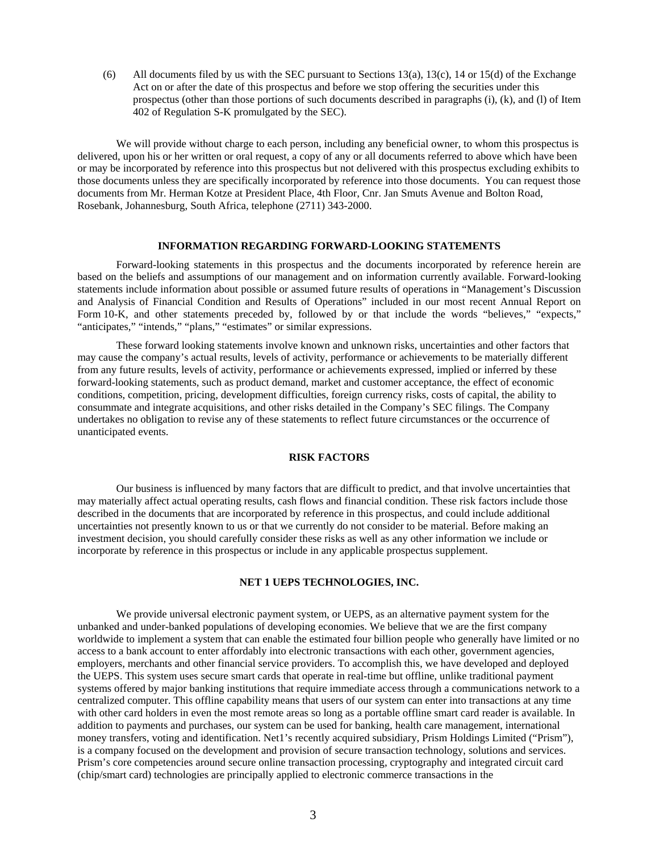(6) All documents filed by us with the SEC pursuant to Sections  $13(a)$ ,  $13(c)$ ,  $14$  or  $15(d)$  of the Exchange Act on or after the date of this prospectus and before we stop offering the securities under this prospectus (other than those portions of such documents described in paragraphs (i), (k), and (l) of Item 402 of Regulation S-K promulgated by the SEC).

We will provide without charge to each person, including any beneficial owner, to whom this prospectus is delivered, upon his or her written or oral request, a copy of any or all documents referred to above which have been or may be incorporated by reference into this prospectus but not delivered with this prospectus excluding exhibits to those documents unless they are specifically incorporated by reference into those documents. You can request those documents from Mr. Herman Kotze at President Place, 4th Floor, Cnr. Jan Smuts Avenue and Bolton Road, Rosebank, Johannesburg, South Africa, telephone (2711) 343-2000.

#### **INFORMATION REGARDING FORWARD-LOOKING STATEMENTS**

 Forward-looking statements in this prospectus and the documents incorporated by reference herein are based on the beliefs and assumptions of our management and on information currently available. Forward-looking statements include information about possible or assumed future results of operations in "Management's Discussion and Analysis of Financial Condition and Results of Operations" included in our most recent Annual Report on Form 10-K, and other statements preceded by, followed by or that include the words "believes," "expects," "anticipates," "intends," "plans," "estimates" or similar expressions.

 These forward looking statements involve known and unknown risks, uncertainties and other factors that may cause the company's actual results, levels of activity, performance or achievements to be materially different from any future results, levels of activity, performance or achievements expressed, implied or inferred by these forward-looking statements, such as product demand, market and customer acceptance, the effect of economic conditions, competition, pricing, development difficulties, foreign currency risks, costs of capital, the ability to consummate and integrate acquisitions, and other risks detailed in the Company's SEC filings. The Company undertakes no obligation to revise any of these statements to reflect future circumstances or the occurrence of unanticipated events.

#### **RISK FACTORS**

 Our business is influenced by many factors that are difficult to predict, and that involve uncertainties that may materially affect actual operating results, cash flows and financial condition. These risk factors include those described in the documents that are incorporated by reference in this prospectus, and could include additional uncertainties not presently known to us or that we currently do not consider to be material. Before making an investment decision, you should carefully consider these risks as well as any other information we include or incorporate by reference in this prospectus or include in any applicable prospectus supplement.

#### **NET 1 UEPS TECHNOLOGIES, INC.**

We provide universal electronic payment system, or UEPS, as an alternative payment system for the unbanked and under-banked populations of developing economies. We believe that we are the first company worldwide to implement a system that can enable the estimated four billion people who generally have limited or no access to a bank account to enter affordably into electronic transactions with each other, government agencies, employers, merchants and other financial service providers. To accomplish this, we have developed and deployed the UEPS. This system uses secure smart cards that operate in real-time but offline, unlike traditional payment systems offered by major banking institutions that require immediate access through a communications network to a centralized computer. This offline capability means that users of our system can enter into transactions at any time with other card holders in even the most remote areas so long as a portable offline smart card reader is available. In addition to payments and purchases, our system can be used for banking, health care management, international money transfers, voting and identification. Net1's recently acquired subsidiary, Prism Holdings Limited ("Prism"), is a company focused on the development and provision of secure transaction technology, solutions and services. Prism's core competencies around secure online transaction processing, cryptography and integrated circuit card (chip/smart card) technologies are principally applied to electronic commerce transactions in the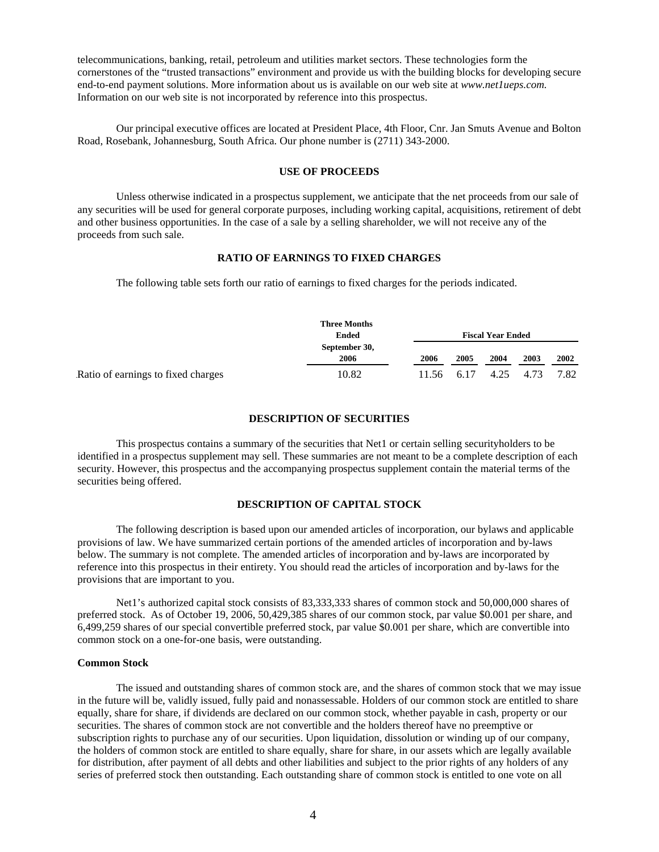telecommunications, banking, retail, petroleum and utilities market sectors. These technologies form the cornerstones of the "trusted transactions" environment and provide us with the building blocks for developing secure end-to-end payment solutions. More information about us is available on our web site at *www.net1ueps.com.*  Information on our web site is not incorporated by reference into this prospectus.

Our principal executive offices are located at President Place, 4th Floor, Cnr. Jan Smuts Avenue and Bolton Road, Rosebank, Johannesburg, South Africa. Our phone number is (2711) 343-2000.

#### **USE OF PROCEEDS**

 Unless otherwise indicated in a prospectus supplement, we anticipate that the net proceeds from our sale of any securities will be used for general corporate purposes, including working capital, acquisitions, retirement of debt and other business opportunities. In the case of a sale by a selling shareholder, we will not receive any of the proceeds from such sale.

#### **RATIO OF EARNINGS TO FIXED CHARGES**

The following table sets forth our ratio of earnings to fixed charges for the periods indicated.

|                                    | <b>Three Months</b> |                          |      |      |      |      |
|------------------------------------|---------------------|--------------------------|------|------|------|------|
|                                    | <b>Ended</b>        | <b>Fiscal Year Ended</b> |      |      |      |      |
|                                    | September 30,       |                          |      |      |      |      |
|                                    | 2006                | 2006                     | 2005 | 2004 | 2003 | 2002 |
| Ratio of earnings to fixed charges | 10.82               | 11.56                    | 6.17 | 4.25 | 4.73 | 7.82 |

#### **DESCRIPTION OF SECURITIES**

 This prospectus contains a summary of the securities that Net1 or certain selling securityholders to be identified in a prospectus supplement may sell. These summaries are not meant to be a complete description of each security. However, this prospectus and the accompanying prospectus supplement contain the material terms of the securities being offered.

#### **DESCRIPTION OF CAPITAL STOCK**

 The following description is based upon our amended articles of incorporation, our bylaws and applicable provisions of law. We have summarized certain portions of the amended articles of incorporation and by-laws below. The summary is not complete. The amended articles of incorporation and by-laws are incorporated by reference into this prospectus in their entirety. You should read the articles of incorporation and by-laws for the provisions that are important to you.

 Net1's authorized capital stock consists of 83,333,333 shares of common stock and 50,000,000 shares of preferred stock. As of October 19, 2006, 50,429,385 shares of our common stock, par value \$0.001 per share, and 6,499,259 shares of our special convertible preferred stock, par value \$0.001 per share, which are convertible into common stock on a one-for-one basis, were outstanding.

#### **Common Stock**

 The issued and outstanding shares of common stock are, and the shares of common stock that we may issue in the future will be, validly issued, fully paid and nonassessable. Holders of our common stock are entitled to share equally, share for share, if dividends are declared on our common stock, whether payable in cash, property or our securities. The shares of common stock are not convertible and the holders thereof have no preemptive or subscription rights to purchase any of our securities. Upon liquidation, dissolution or winding up of our company, the holders of common stock are entitled to share equally, share for share, in our assets which are legally available for distribution, after payment of all debts and other liabilities and subject to the prior rights of any holders of any series of preferred stock then outstanding. Each outstanding share of common stock is entitled to one vote on all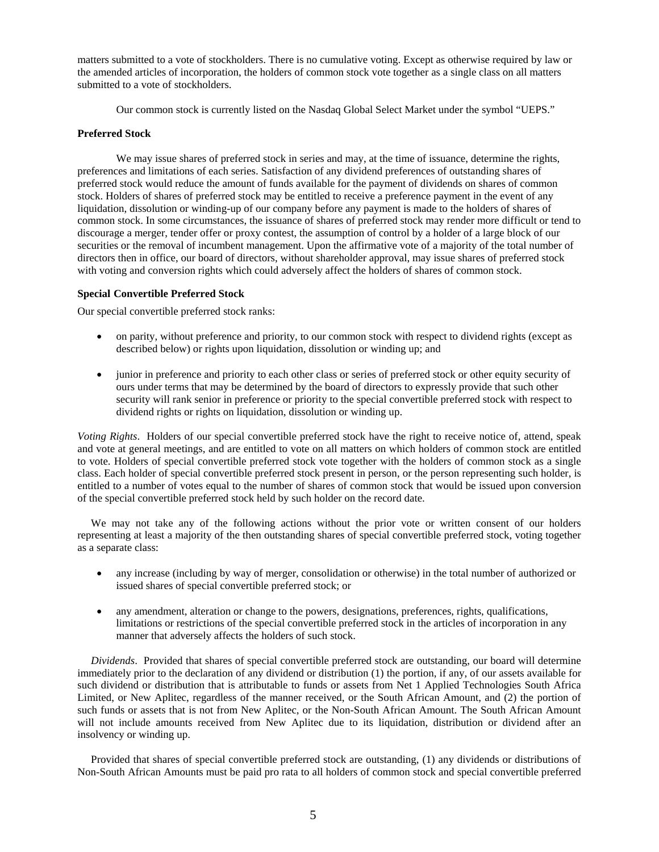matters submitted to a vote of stockholders. There is no cumulative voting. Except as otherwise required by law or the amended articles of incorporation, the holders of common stock vote together as a single class on all matters submitted to a vote of stockholders.

Our common stock is currently listed on the Nasdaq Global Select Market under the symbol "UEPS."

#### **Preferred Stock**

We may issue shares of preferred stock in series and may, at the time of issuance, determine the rights, preferences and limitations of each series. Satisfaction of any dividend preferences of outstanding shares of preferred stock would reduce the amount of funds available for the payment of dividends on shares of common stock. Holders of shares of preferred stock may be entitled to receive a preference payment in the event of any liquidation, dissolution or winding-up of our company before any payment is made to the holders of shares of common stock. In some circumstances, the issuance of shares of preferred stock may render more difficult or tend to discourage a merger, tender offer or proxy contest, the assumption of control by a holder of a large block of our securities or the removal of incumbent management. Upon the affirmative vote of a majority of the total number of directors then in office, our board of directors, without shareholder approval, may issue shares of preferred stock with voting and conversion rights which could adversely affect the holders of shares of common stock.

#### **Special Convertible Preferred Stock**

Our special convertible preferred stock ranks:

- on parity, without preference and priority, to our common stock with respect to dividend rights (except as described below) or rights upon liquidation, dissolution or winding up; and
- junior in preference and priority to each other class or series of preferred stock or other equity security of ours under terms that may be determined by the board of directors to expressly provide that such other security will rank senior in preference or priority to the special convertible preferred stock with respect to dividend rights or rights on liquidation, dissolution or winding up.

*Voting Rights*. Holders of our special convertible preferred stock have the right to receive notice of, attend, speak and vote at general meetings, and are entitled to vote on all matters on which holders of common stock are entitled to vote. Holders of special convertible preferred stock vote together with the holders of common stock as a single class. Each holder of special convertible preferred stock present in person, or the person representing such holder, is entitled to a number of votes equal to the number of shares of common stock that would be issued upon conversion of the special convertible preferred stock held by such holder on the record date.

 We may not take any of the following actions without the prior vote or written consent of our holders representing at least a majority of the then outstanding shares of special convertible preferred stock, voting together as a separate class:

- any increase (including by way of merger, consolidation or otherwise) in the total number of authorized or issued shares of special convertible preferred stock; or
- any amendment, alteration or change to the powers, designations, preferences, rights, qualifications, limitations or restrictions of the special convertible preferred stock in the articles of incorporation in any manner that adversely affects the holders of such stock.

 *Dividends*. Provided that shares of special convertible preferred stock are outstanding, our board will determine immediately prior to the declaration of any dividend or distribution (1) the portion, if any, of our assets available for such dividend or distribution that is attributable to funds or assets from Net 1 Applied Technologies South Africa Limited, or New Aplitec, regardless of the manner received, or the South African Amount, and (2) the portion of such funds or assets that is not from New Aplitec, or the Non-South African Amount. The South African Amount will not include amounts received from New Aplitec due to its liquidation, distribution or dividend after an insolvency or winding up.

 Provided that shares of special convertible preferred stock are outstanding, (1) any dividends or distributions of Non-South African Amounts must be paid pro rata to all holders of common stock and special convertible preferred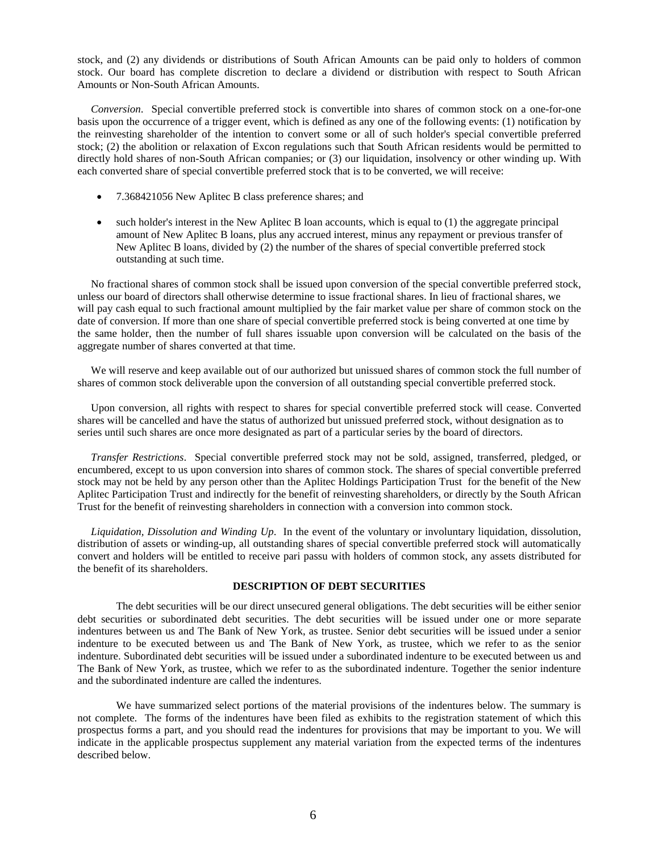stock, and (2) any dividends or distributions of South African Amounts can be paid only to holders of common stock. Our board has complete discretion to declare a dividend or distribution with respect to South African Amounts or Non-South African Amounts.

 *Conversion*. Special convertible preferred stock is convertible into shares of common stock on a one-for-one basis upon the occurrence of a trigger event, which is defined as any one of the following events: (1) notification by the reinvesting shareholder of the intention to convert some or all of such holder's special convertible preferred stock; (2) the abolition or relaxation of Excon regulations such that South African residents would be permitted to directly hold shares of non-South African companies; or (3) our liquidation, insolvency or other winding up. With each converted share of special convertible preferred stock that is to be converted, we will receive:

- 7.368421056 New Aplitec B class preference shares; and
- such holder's interest in the New Aplitec B loan accounts, which is equal to (1) the aggregate principal amount of New Aplitec B loans, plus any accrued interest, minus any repayment or previous transfer of New Aplitec B loans, divided by (2) the number of the shares of special convertible preferred stock outstanding at such time.

 No fractional shares of common stock shall be issued upon conversion of the special convertible preferred stock, unless our board of directors shall otherwise determine to issue fractional shares. In lieu of fractional shares, we will pay cash equal to such fractional amount multiplied by the fair market value per share of common stock on the date of conversion. If more than one share of special convertible preferred stock is being converted at one time by the same holder, then the number of full shares issuable upon conversion will be calculated on the basis of the aggregate number of shares converted at that time.

 We will reserve and keep available out of our authorized but unissued shares of common stock the full number of shares of common stock deliverable upon the conversion of all outstanding special convertible preferred stock.

 Upon conversion, all rights with respect to shares for special convertible preferred stock will cease. Converted shares will be cancelled and have the status of authorized but unissued preferred stock, without designation as to series until such shares are once more designated as part of a particular series by the board of directors.

 *Transfer Restrictions*. Special convertible preferred stock may not be sold, assigned, transferred, pledged, or encumbered, except to us upon conversion into shares of common stock. The shares of special convertible preferred stock may not be held by any person other than the Aplitec Holdings Participation Trust for the benefit of the New Aplitec Participation Trust and indirectly for the benefit of reinvesting shareholders, or directly by the South African Trust for the benefit of reinvesting shareholders in connection with a conversion into common stock.

 *Liquidation, Dissolution and Winding Up*. In the event of the voluntary or involuntary liquidation, dissolution, distribution of assets or winding-up, all outstanding shares of special convertible preferred stock will automatically convert and holders will be entitled to receive pari passu with holders of common stock, any assets distributed for the benefit of its shareholders.

#### **DESCRIPTION OF DEBT SECURITIES**

 The debt securities will be our direct unsecured general obligations. The debt securities will be either senior debt securities or subordinated debt securities. The debt securities will be issued under one or more separate indentures between us and The Bank of New York, as trustee. Senior debt securities will be issued under a senior indenture to be executed between us and The Bank of New York, as trustee, which we refer to as the senior indenture. Subordinated debt securities will be issued under a subordinated indenture to be executed between us and The Bank of New York, as trustee, which we refer to as the subordinated indenture. Together the senior indenture and the subordinated indenture are called the indentures.

 We have summarized select portions of the material provisions of the indentures below. The summary is not complete. The forms of the indentures have been filed as exhibits to the registration statement of which this prospectus forms a part, and you should read the indentures for provisions that may be important to you. We will indicate in the applicable prospectus supplement any material variation from the expected terms of the indentures described below.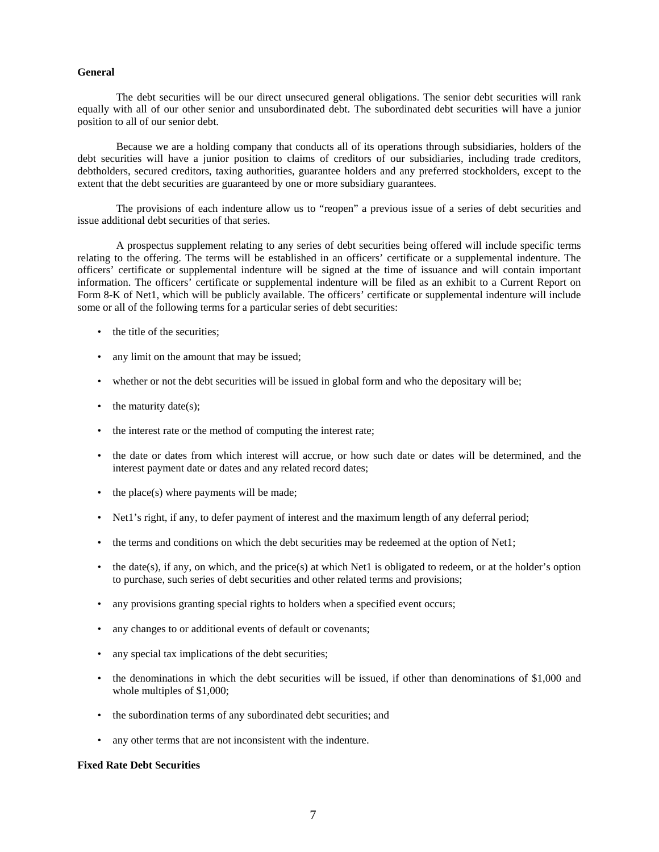#### **General**

 The debt securities will be our direct unsecured general obligations. The senior debt securities will rank equally with all of our other senior and unsubordinated debt. The subordinated debt securities will have a junior position to all of our senior debt.

 Because we are a holding company that conducts all of its operations through subsidiaries, holders of the debt securities will have a junior position to claims of creditors of our subsidiaries, including trade creditors, debtholders, secured creditors, taxing authorities, guarantee holders and any preferred stockholders, except to the extent that the debt securities are guaranteed by one or more subsidiary guarantees.

 The provisions of each indenture allow us to "reopen" a previous issue of a series of debt securities and issue additional debt securities of that series.

 A prospectus supplement relating to any series of debt securities being offered will include specific terms relating to the offering. The terms will be established in an officers' certificate or a supplemental indenture. The officers' certificate or supplemental indenture will be signed at the time of issuance and will contain important information. The officers' certificate or supplemental indenture will be filed as an exhibit to a Current Report on Form 8-K of Net1, which will be publicly available. The officers' certificate or supplemental indenture will include some or all of the following terms for a particular series of debt securities:

- the title of the securities;
- any limit on the amount that may be issued;
- whether or not the debt securities will be issued in global form and who the depositary will be;
- the maturity date(s);
- the interest rate or the method of computing the interest rate;
- the date or dates from which interest will accrue, or how such date or dates will be determined, and the interest payment date or dates and any related record dates;
- the place(s) where payments will be made;
- Net1's right, if any, to defer payment of interest and the maximum length of any deferral period;
- the terms and conditions on which the debt securities may be redeemed at the option of Net1;
- the date(s), if any, on which, and the price(s) at which Net1 is obligated to redeem, or at the holder's option to purchase, such series of debt securities and other related terms and provisions;
- any provisions granting special rights to holders when a specified event occurs;
- any changes to or additional events of default or covenants;
- any special tax implications of the debt securities;
- the denominations in which the debt securities will be issued, if other than denominations of \$1,000 and whole multiples of \$1,000;
- the subordination terms of any subordinated debt securities; and
- any other terms that are not inconsistent with the indenture.

#### **Fixed Rate Debt Securities**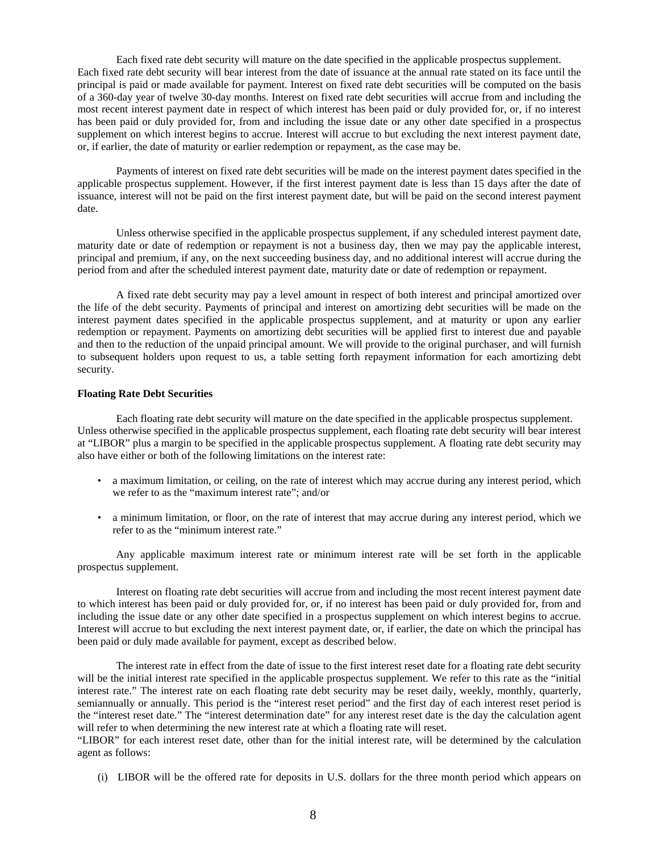Each fixed rate debt security will mature on the date specified in the applicable prospectus supplement. Each fixed rate debt security will bear interest from the date of issuance at the annual rate stated on its face until the principal is paid or made available for payment. Interest on fixed rate debt securities will be computed on the basis of a 360-day year of twelve 30-day months. Interest on fixed rate debt securities will accrue from and including the most recent interest payment date in respect of which interest has been paid or duly provided for, or, if no interest has been paid or duly provided for, from and including the issue date or any other date specified in a prospectus supplement on which interest begins to accrue. Interest will accrue to but excluding the next interest payment date, or, if earlier, the date of maturity or earlier redemption or repayment, as the case may be.

 Payments of interest on fixed rate debt securities will be made on the interest payment dates specified in the applicable prospectus supplement. However, if the first interest payment date is less than 15 days after the date of issuance, interest will not be paid on the first interest payment date, but will be paid on the second interest payment date.

 Unless otherwise specified in the applicable prospectus supplement, if any scheduled interest payment date, maturity date or date of redemption or repayment is not a business day, then we may pay the applicable interest, principal and premium, if any, on the next succeeding business day, and no additional interest will accrue during the period from and after the scheduled interest payment date, maturity date or date of redemption or repayment.

 A fixed rate debt security may pay a level amount in respect of both interest and principal amortized over the life of the debt security. Payments of principal and interest on amortizing debt securities will be made on the interest payment dates specified in the applicable prospectus supplement, and at maturity or upon any earlier redemption or repayment. Payments on amortizing debt securities will be applied first to interest due and payable and then to the reduction of the unpaid principal amount. We will provide to the original purchaser, and will furnish to subsequent holders upon request to us, a table setting forth repayment information for each amortizing debt security.

#### **Floating Rate Debt Securities**

 Each floating rate debt security will mature on the date specified in the applicable prospectus supplement. Unless otherwise specified in the applicable prospectus supplement, each floating rate debt security will bear interest at "LIBOR" plus a margin to be specified in the applicable prospectus supplement. A floating rate debt security may also have either or both of the following limitations on the interest rate:

- a maximum limitation, or ceiling, on the rate of interest which may accrue during any interest period, which we refer to as the "maximum interest rate"; and/or
- a minimum limitation, or floor, on the rate of interest that may accrue during any interest period, which we refer to as the "minimum interest rate."

 Any applicable maximum interest rate or minimum interest rate will be set forth in the applicable prospectus supplement.

 Interest on floating rate debt securities will accrue from and including the most recent interest payment date to which interest has been paid or duly provided for, or, if no interest has been paid or duly provided for, from and including the issue date or any other date specified in a prospectus supplement on which interest begins to accrue. Interest will accrue to but excluding the next interest payment date, or, if earlier, the date on which the principal has been paid or duly made available for payment, except as described below.

 The interest rate in effect from the date of issue to the first interest reset date for a floating rate debt security will be the initial interest rate specified in the applicable prospectus supplement. We refer to this rate as the "initial interest rate." The interest rate on each floating rate debt security may be reset daily, weekly, monthly, quarterly, semiannually or annually. This period is the "interest reset period" and the first day of each interest reset period is the "interest reset date." The "interest determination date" for any interest reset date is the day the calculation agent will refer to when determining the new interest rate at which a floating rate will reset.

"LIBOR" for each interest reset date, other than for the initial interest rate, will be determined by the calculation agent as follows:

(i) LIBOR will be the offered rate for deposits in U.S. dollars for the three month period which appears on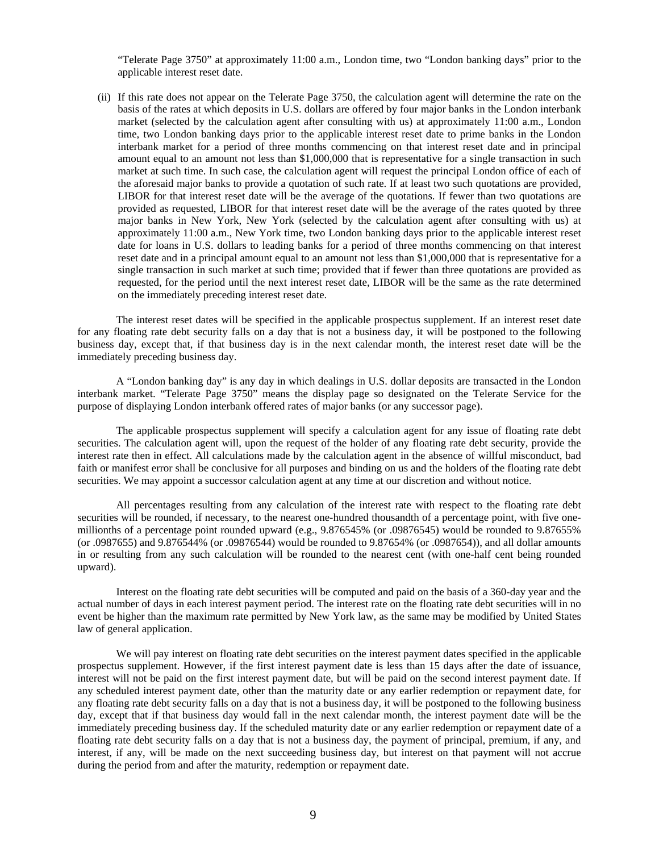"Telerate Page 3750" at approximately 11:00 a.m., London time, two "London banking days" prior to the applicable interest reset date.

(ii) If this rate does not appear on the Telerate Page 3750, the calculation agent will determine the rate on the basis of the rates at which deposits in U.S. dollars are offered by four major banks in the London interbank market (selected by the calculation agent after consulting with us) at approximately 11:00 a.m., London time, two London banking days prior to the applicable interest reset date to prime banks in the London interbank market for a period of three months commencing on that interest reset date and in principal amount equal to an amount not less than \$1,000,000 that is representative for a single transaction in such market at such time. In such case, the calculation agent will request the principal London office of each of the aforesaid major banks to provide a quotation of such rate. If at least two such quotations are provided, LIBOR for that interest reset date will be the average of the quotations. If fewer than two quotations are provided as requested, LIBOR for that interest reset date will be the average of the rates quoted by three major banks in New York, New York (selected by the calculation agent after consulting with us) at approximately 11:00 a.m., New York time, two London banking days prior to the applicable interest reset date for loans in U.S. dollars to leading banks for a period of three months commencing on that interest reset date and in a principal amount equal to an amount not less than \$1,000,000 that is representative for a single transaction in such market at such time; provided that if fewer than three quotations are provided as requested, for the period until the next interest reset date, LIBOR will be the same as the rate determined on the immediately preceding interest reset date.

 The interest reset dates will be specified in the applicable prospectus supplement. If an interest reset date for any floating rate debt security falls on a day that is not a business day, it will be postponed to the following business day, except that, if that business day is in the next calendar month, the interest reset date will be the immediately preceding business day.

 A "London banking day" is any day in which dealings in U.S. dollar deposits are transacted in the London interbank market. "Telerate Page 3750" means the display page so designated on the Telerate Service for the purpose of displaying London interbank offered rates of major banks (or any successor page).

 The applicable prospectus supplement will specify a calculation agent for any issue of floating rate debt securities. The calculation agent will, upon the request of the holder of any floating rate debt security, provide the interest rate then in effect. All calculations made by the calculation agent in the absence of willful misconduct, bad faith or manifest error shall be conclusive for all purposes and binding on us and the holders of the floating rate debt securities. We may appoint a successor calculation agent at any time at our discretion and without notice.

 All percentages resulting from any calculation of the interest rate with respect to the floating rate debt securities will be rounded, if necessary, to the nearest one-hundred thousandth of a percentage point, with five onemillionths of a percentage point rounded upward (e.g., 9.876545% (or .09876545) would be rounded to 9.87655% (or .0987655) and 9.876544% (or .09876544) would be rounded to 9.87654% (or .0987654)), and all dollar amounts in or resulting from any such calculation will be rounded to the nearest cent (with one-half cent being rounded upward).

 Interest on the floating rate debt securities will be computed and paid on the basis of a 360-day year and the actual number of days in each interest payment period. The interest rate on the floating rate debt securities will in no event be higher than the maximum rate permitted by New York law, as the same may be modified by United States law of general application.

 We will pay interest on floating rate debt securities on the interest payment dates specified in the applicable prospectus supplement. However, if the first interest payment date is less than 15 days after the date of issuance, interest will not be paid on the first interest payment date, but will be paid on the second interest payment date. If any scheduled interest payment date, other than the maturity date or any earlier redemption or repayment date, for any floating rate debt security falls on a day that is not a business day, it will be postponed to the following business day, except that if that business day would fall in the next calendar month, the interest payment date will be the immediately preceding business day. If the scheduled maturity date or any earlier redemption or repayment date of a floating rate debt security falls on a day that is not a business day, the payment of principal, premium, if any, and interest, if any, will be made on the next succeeding business day, but interest on that payment will not accrue during the period from and after the maturity, redemption or repayment date.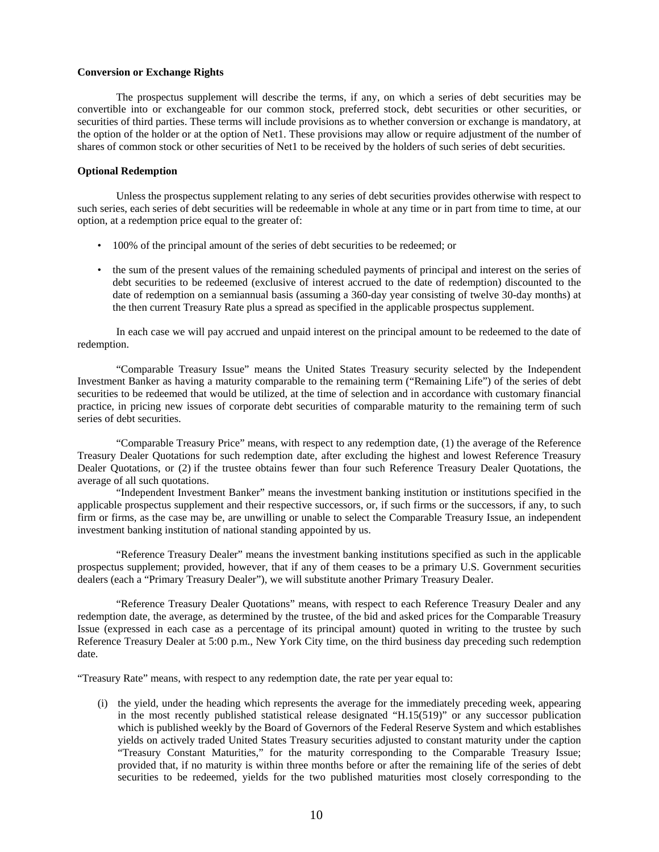#### **Conversion or Exchange Rights**

 The prospectus supplement will describe the terms, if any, on which a series of debt securities may be convertible into or exchangeable for our common stock, preferred stock, debt securities or other securities, or securities of third parties. These terms will include provisions as to whether conversion or exchange is mandatory, at the option of the holder or at the option of Net1. These provisions may allow or require adjustment of the number of shares of common stock or other securities of Net1 to be received by the holders of such series of debt securities.

#### **Optional Redemption**

 Unless the prospectus supplement relating to any series of debt securities provides otherwise with respect to such series, each series of debt securities will be redeemable in whole at any time or in part from time to time, at our option, at a redemption price equal to the greater of:

- 100% of the principal amount of the series of debt securities to be redeemed; or
- the sum of the present values of the remaining scheduled payments of principal and interest on the series of debt securities to be redeemed (exclusive of interest accrued to the date of redemption) discounted to the date of redemption on a semiannual basis (assuming a 360-day year consisting of twelve 30-day months) at the then current Treasury Rate plus a spread as specified in the applicable prospectus supplement.

 In each case we will pay accrued and unpaid interest on the principal amount to be redeemed to the date of redemption.

 "Comparable Treasury Issue" means the United States Treasury security selected by the Independent Investment Banker as having a maturity comparable to the remaining term ("Remaining Life") of the series of debt securities to be redeemed that would be utilized, at the time of selection and in accordance with customary financial practice, in pricing new issues of corporate debt securities of comparable maturity to the remaining term of such series of debt securities.

 "Comparable Treasury Price" means, with respect to any redemption date, (1) the average of the Reference Treasury Dealer Quotations for such redemption date, after excluding the highest and lowest Reference Treasury Dealer Quotations, or (2) if the trustee obtains fewer than four such Reference Treasury Dealer Quotations, the average of all such quotations.

 "Independent Investment Banker" means the investment banking institution or institutions specified in the applicable prospectus supplement and their respective successors, or, if such firms or the successors, if any, to such firm or firms, as the case may be, are unwilling or unable to select the Comparable Treasury Issue, an independent investment banking institution of national standing appointed by us.

 "Reference Treasury Dealer" means the investment banking institutions specified as such in the applicable prospectus supplement; provided, however, that if any of them ceases to be a primary U.S. Government securities dealers (each a "Primary Treasury Dealer"), we will substitute another Primary Treasury Dealer.

 "Reference Treasury Dealer Quotations" means, with respect to each Reference Treasury Dealer and any redemption date, the average, as determined by the trustee, of the bid and asked prices for the Comparable Treasury Issue (expressed in each case as a percentage of its principal amount) quoted in writing to the trustee by such Reference Treasury Dealer at 5:00 p.m., New York City time, on the third business day preceding such redemption date.

"Treasury Rate" means, with respect to any redemption date, the rate per year equal to:

(i) the yield, under the heading which represents the average for the immediately preceding week, appearing in the most recently published statistical release designated "H.15(519)" or any successor publication which is published weekly by the Board of Governors of the Federal Reserve System and which establishes yields on actively traded United States Treasury securities adjusted to constant maturity under the caption "Treasury Constant Maturities," for the maturity corresponding to the Comparable Treasury Issue; provided that, if no maturity is within three months before or after the remaining life of the series of debt securities to be redeemed, yields for the two published maturities most closely corresponding to the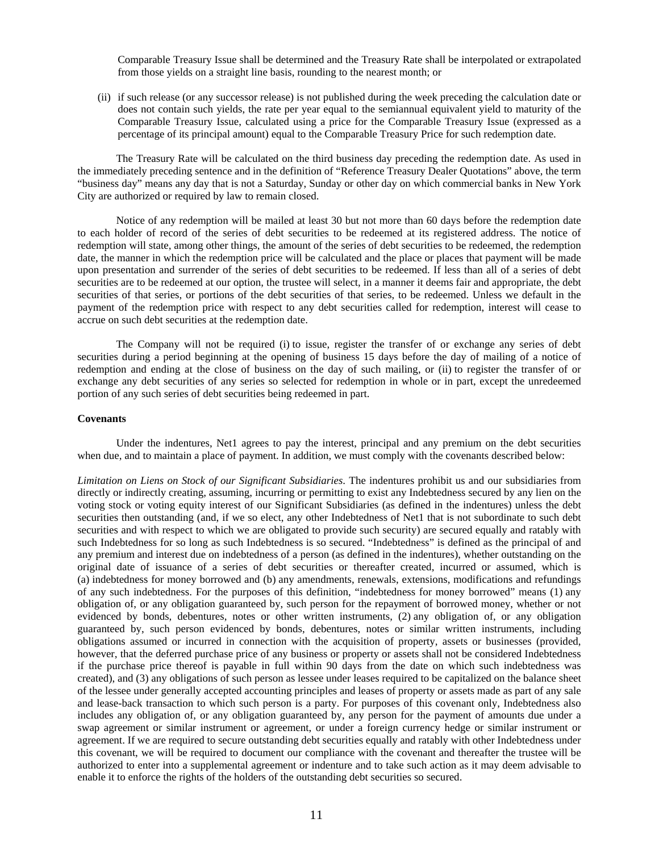Comparable Treasury Issue shall be determined and the Treasury Rate shall be interpolated or extrapolated from those yields on a straight line basis, rounding to the nearest month; or

(ii) if such release (or any successor release) is not published during the week preceding the calculation date or does not contain such yields, the rate per year equal to the semiannual equivalent yield to maturity of the Comparable Treasury Issue, calculated using a price for the Comparable Treasury Issue (expressed as a percentage of its principal amount) equal to the Comparable Treasury Price for such redemption date.

 The Treasury Rate will be calculated on the third business day preceding the redemption date. As used in the immediately preceding sentence and in the definition of "Reference Treasury Dealer Quotations" above, the term "business day" means any day that is not a Saturday, Sunday or other day on which commercial banks in New York City are authorized or required by law to remain closed.

 Notice of any redemption will be mailed at least 30 but not more than 60 days before the redemption date to each holder of record of the series of debt securities to be redeemed at its registered address. The notice of redemption will state, among other things, the amount of the series of debt securities to be redeemed, the redemption date, the manner in which the redemption price will be calculated and the place or places that payment will be made upon presentation and surrender of the series of debt securities to be redeemed. If less than all of a series of debt securities are to be redeemed at our option, the trustee will select, in a manner it deems fair and appropriate, the debt securities of that series, or portions of the debt securities of that series, to be redeemed. Unless we default in the payment of the redemption price with respect to any debt securities called for redemption, interest will cease to accrue on such debt securities at the redemption date.

 The Company will not be required (i) to issue, register the transfer of or exchange any series of debt securities during a period beginning at the opening of business 15 days before the day of mailing of a notice of redemption and ending at the close of business on the day of such mailing, or (ii) to register the transfer of or exchange any debt securities of any series so selected for redemption in whole or in part, except the unredeemed portion of any such series of debt securities being redeemed in part.

#### **Covenants**

 Under the indentures, Net1 agrees to pay the interest, principal and any premium on the debt securities when due, and to maintain a place of payment. In addition, we must comply with the covenants described below:

*Limitation on Liens on Stock of our Significant Subsidiaries*. The indentures prohibit us and our subsidiaries from directly or indirectly creating, assuming, incurring or permitting to exist any Indebtedness secured by any lien on the voting stock or voting equity interest of our Significant Subsidiaries (as defined in the indentures) unless the debt securities then outstanding (and, if we so elect, any other Indebtedness of Net1 that is not subordinate to such debt securities and with respect to which we are obligated to provide such security) are secured equally and ratably with such Indebtedness for so long as such Indebtedness is so secured. "Indebtedness" is defined as the principal of and any premium and interest due on indebtedness of a person (as defined in the indentures), whether outstanding on the original date of issuance of a series of debt securities or thereafter created, incurred or assumed, which is (a) indebtedness for money borrowed and (b) any amendments, renewals, extensions, modifications and refundings of any such indebtedness. For the purposes of this definition, "indebtedness for money borrowed" means (1) any obligation of, or any obligation guaranteed by, such person for the repayment of borrowed money, whether or not evidenced by bonds, debentures, notes or other written instruments, (2) any obligation of, or any obligation guaranteed by, such person evidenced by bonds, debentures, notes or similar written instruments, including obligations assumed or incurred in connection with the acquisition of property, assets or businesses (provided, however, that the deferred purchase price of any business or property or assets shall not be considered Indebtedness if the purchase price thereof is payable in full within 90 days from the date on which such indebtedness was created), and (3) any obligations of such person as lessee under leases required to be capitalized on the balance sheet of the lessee under generally accepted accounting principles and leases of property or assets made as part of any sale and lease-back transaction to which such person is a party. For purposes of this covenant only, Indebtedness also includes any obligation of, or any obligation guaranteed by, any person for the payment of amounts due under a swap agreement or similar instrument or agreement, or under a foreign currency hedge or similar instrument or agreement. If we are required to secure outstanding debt securities equally and ratably with other Indebtedness under this covenant, we will be required to document our compliance with the covenant and thereafter the trustee will be authorized to enter into a supplemental agreement or indenture and to take such action as it may deem advisable to enable it to enforce the rights of the holders of the outstanding debt securities so secured.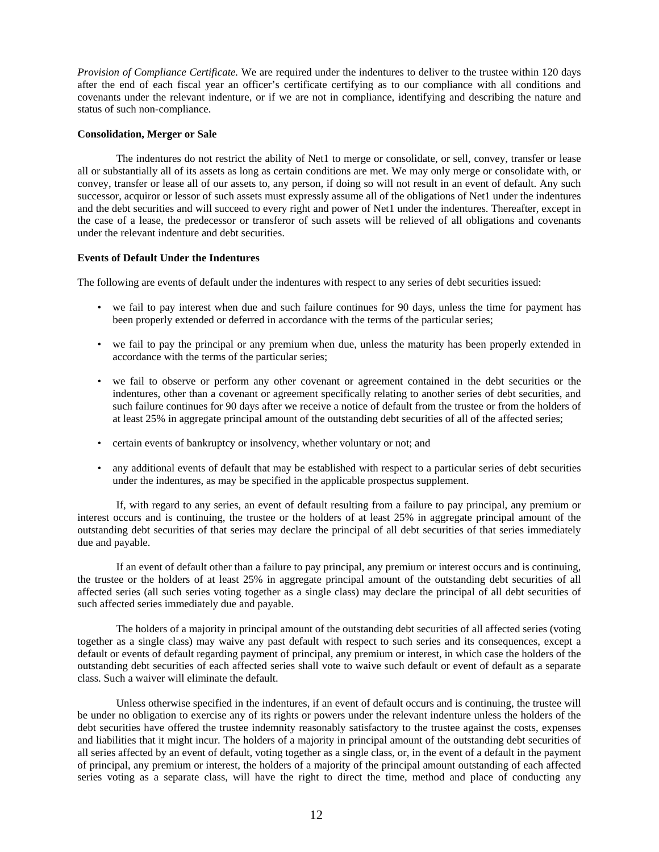*Provision of Compliance Certificate.* We are required under the indentures to deliver to the trustee within 120 days after the end of each fiscal year an officer's certificate certifying as to our compliance with all conditions and covenants under the relevant indenture, or if we are not in compliance, identifying and describing the nature and status of such non-compliance.

#### **Consolidation, Merger or Sale**

 The indentures do not restrict the ability of Net1 to merge or consolidate, or sell, convey, transfer or lease all or substantially all of its assets as long as certain conditions are met. We may only merge or consolidate with, or convey, transfer or lease all of our assets to, any person, if doing so will not result in an event of default. Any such successor, acquiror or lessor of such assets must expressly assume all of the obligations of Net1 under the indentures and the debt securities and will succeed to every right and power of Net1 under the indentures. Thereafter, except in the case of a lease, the predecessor or transferor of such assets will be relieved of all obligations and covenants under the relevant indenture and debt securities.

#### **Events of Default Under the Indentures**

The following are events of default under the indentures with respect to any series of debt securities issued:

- we fail to pay interest when due and such failure continues for 90 days, unless the time for payment has been properly extended or deferred in accordance with the terms of the particular series;
- we fail to pay the principal or any premium when due, unless the maturity has been properly extended in accordance with the terms of the particular series;
- we fail to observe or perform any other covenant or agreement contained in the debt securities or the indentures, other than a covenant or agreement specifically relating to another series of debt securities, and such failure continues for 90 days after we receive a notice of default from the trustee or from the holders of at least 25% in aggregate principal amount of the outstanding debt securities of all of the affected series;
- certain events of bankruptcy or insolvency, whether voluntary or not; and
- any additional events of default that may be established with respect to a particular series of debt securities under the indentures, as may be specified in the applicable prospectus supplement.

 If, with regard to any series, an event of default resulting from a failure to pay principal, any premium or interest occurs and is continuing, the trustee or the holders of at least 25% in aggregate principal amount of the outstanding debt securities of that series may declare the principal of all debt securities of that series immediately due and payable.

 If an event of default other than a failure to pay principal, any premium or interest occurs and is continuing, the trustee or the holders of at least 25% in aggregate principal amount of the outstanding debt securities of all affected series (all such series voting together as a single class) may declare the principal of all debt securities of such affected series immediately due and payable.

 The holders of a majority in principal amount of the outstanding debt securities of all affected series (voting together as a single class) may waive any past default with respect to such series and its consequences, except a default or events of default regarding payment of principal, any premium or interest, in which case the holders of the outstanding debt securities of each affected series shall vote to waive such default or event of default as a separate class. Such a waiver will eliminate the default.

 Unless otherwise specified in the indentures, if an event of default occurs and is continuing, the trustee will be under no obligation to exercise any of its rights or powers under the relevant indenture unless the holders of the debt securities have offered the trustee indemnity reasonably satisfactory to the trustee against the costs, expenses and liabilities that it might incur. The holders of a majority in principal amount of the outstanding debt securities of all series affected by an event of default, voting together as a single class, or, in the event of a default in the payment of principal, any premium or interest, the holders of a majority of the principal amount outstanding of each affected series voting as a separate class, will have the right to direct the time, method and place of conducting any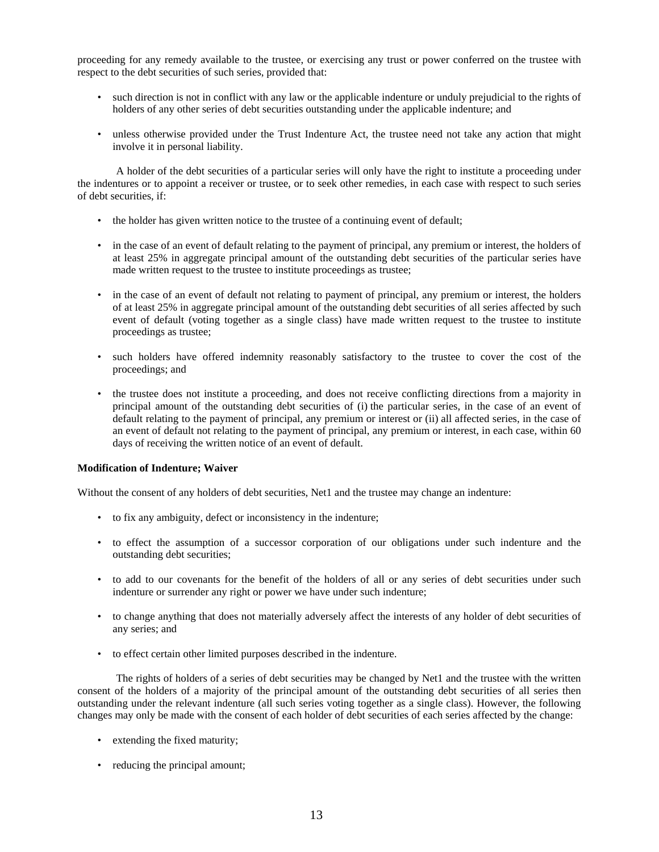proceeding for any remedy available to the trustee, or exercising any trust or power conferred on the trustee with respect to the debt securities of such series, provided that:

- such direction is not in conflict with any law or the applicable indenture or unduly prejudicial to the rights of holders of any other series of debt securities outstanding under the applicable indenture; and
- unless otherwise provided under the Trust Indenture Act, the trustee need not take any action that might involve it in personal liability.

 A holder of the debt securities of a particular series will only have the right to institute a proceeding under the indentures or to appoint a receiver or trustee, or to seek other remedies, in each case with respect to such series of debt securities, if:

- the holder has given written notice to the trustee of a continuing event of default;
- in the case of an event of default relating to the payment of principal, any premium or interest, the holders of at least 25% in aggregate principal amount of the outstanding debt securities of the particular series have made written request to the trustee to institute proceedings as trustee;
- in the case of an event of default not relating to payment of principal, any premium or interest, the holders of at least 25% in aggregate principal amount of the outstanding debt securities of all series affected by such event of default (voting together as a single class) have made written request to the trustee to institute proceedings as trustee;
- such holders have offered indemnity reasonably satisfactory to the trustee to cover the cost of the proceedings; and
- the trustee does not institute a proceeding, and does not receive conflicting directions from a majority in principal amount of the outstanding debt securities of (i) the particular series, in the case of an event of default relating to the payment of principal, any premium or interest or (ii) all affected series, in the case of an event of default not relating to the payment of principal, any premium or interest, in each case, within 60 days of receiving the written notice of an event of default.

#### **Modification of Indenture; Waiver**

Without the consent of any holders of debt securities, Net1 and the trustee may change an indenture:

- to fix any ambiguity, defect or inconsistency in the indenture;
- to effect the assumption of a successor corporation of our obligations under such indenture and the outstanding debt securities;
- to add to our covenants for the benefit of the holders of all or any series of debt securities under such indenture or surrender any right or power we have under such indenture;
- to change anything that does not materially adversely affect the interests of any holder of debt securities of any series; and
- to effect certain other limited purposes described in the indenture.

 The rights of holders of a series of debt securities may be changed by Net1 and the trustee with the written consent of the holders of a majority of the principal amount of the outstanding debt securities of all series then outstanding under the relevant indenture (all such series voting together as a single class). However, the following changes may only be made with the consent of each holder of debt securities of each series affected by the change:

- extending the fixed maturity;
- reducing the principal amount;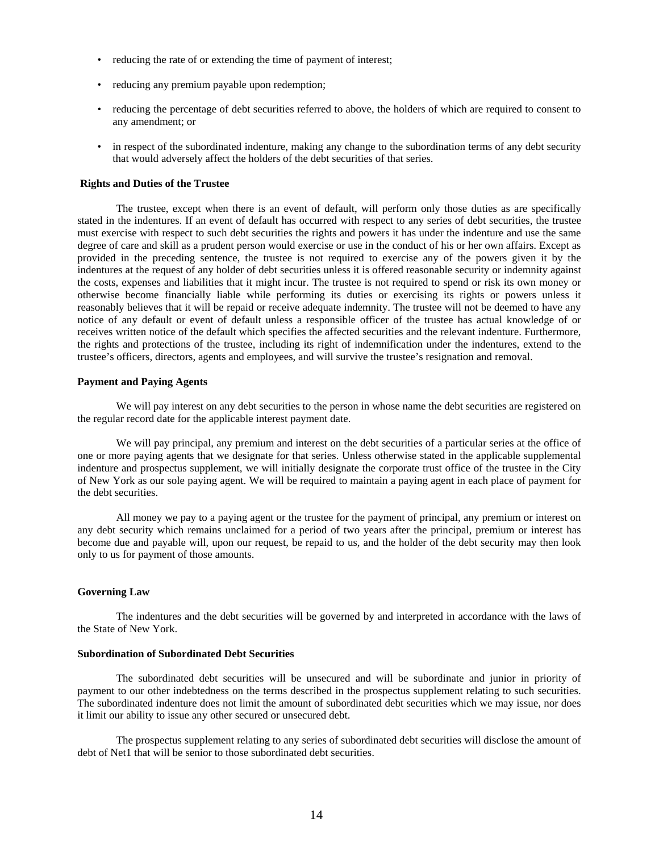- reducing the rate of or extending the time of payment of interest;
- reducing any premium payable upon redemption;
- reducing the percentage of debt securities referred to above, the holders of which are required to consent to any amendment; or
- in respect of the subordinated indenture, making any change to the subordination terms of any debt security that would adversely affect the holders of the debt securities of that series.

#### **Rights and Duties of the Trustee**

 The trustee, except when there is an event of default, will perform only those duties as are specifically stated in the indentures. If an event of default has occurred with respect to any series of debt securities, the trustee must exercise with respect to such debt securities the rights and powers it has under the indenture and use the same degree of care and skill as a prudent person would exercise or use in the conduct of his or her own affairs. Except as provided in the preceding sentence, the trustee is not required to exercise any of the powers given it by the indentures at the request of any holder of debt securities unless it is offered reasonable security or indemnity against the costs, expenses and liabilities that it might incur. The trustee is not required to spend or risk its own money or otherwise become financially liable while performing its duties or exercising its rights or powers unless it reasonably believes that it will be repaid or receive adequate indemnity. The trustee will not be deemed to have any notice of any default or event of default unless a responsible officer of the trustee has actual knowledge of or receives written notice of the default which specifies the affected securities and the relevant indenture. Furthermore, the rights and protections of the trustee, including its right of indemnification under the indentures, extend to the trustee's officers, directors, agents and employees, and will survive the trustee's resignation and removal.

#### **Payment and Paying Agents**

We will pay interest on any debt securities to the person in whose name the debt securities are registered on the regular record date for the applicable interest payment date.

 We will pay principal, any premium and interest on the debt securities of a particular series at the office of one or more paying agents that we designate for that series. Unless otherwise stated in the applicable supplemental indenture and prospectus supplement, we will initially designate the corporate trust office of the trustee in the City of New York as our sole paying agent. We will be required to maintain a paying agent in each place of payment for the debt securities.

 All money we pay to a paying agent or the trustee for the payment of principal, any premium or interest on any debt security which remains unclaimed for a period of two years after the principal, premium or interest has become due and payable will, upon our request, be repaid to us, and the holder of the debt security may then look only to us for payment of those amounts.

#### **Governing Law**

 The indentures and the debt securities will be governed by and interpreted in accordance with the laws of the State of New York.

#### **Subordination of Subordinated Debt Securities**

 The subordinated debt securities will be unsecured and will be subordinate and junior in priority of payment to our other indebtedness on the terms described in the prospectus supplement relating to such securities. The subordinated indenture does not limit the amount of subordinated debt securities which we may issue, nor does it limit our ability to issue any other secured or unsecured debt.

 The prospectus supplement relating to any series of subordinated debt securities will disclose the amount of debt of Net1 that will be senior to those subordinated debt securities.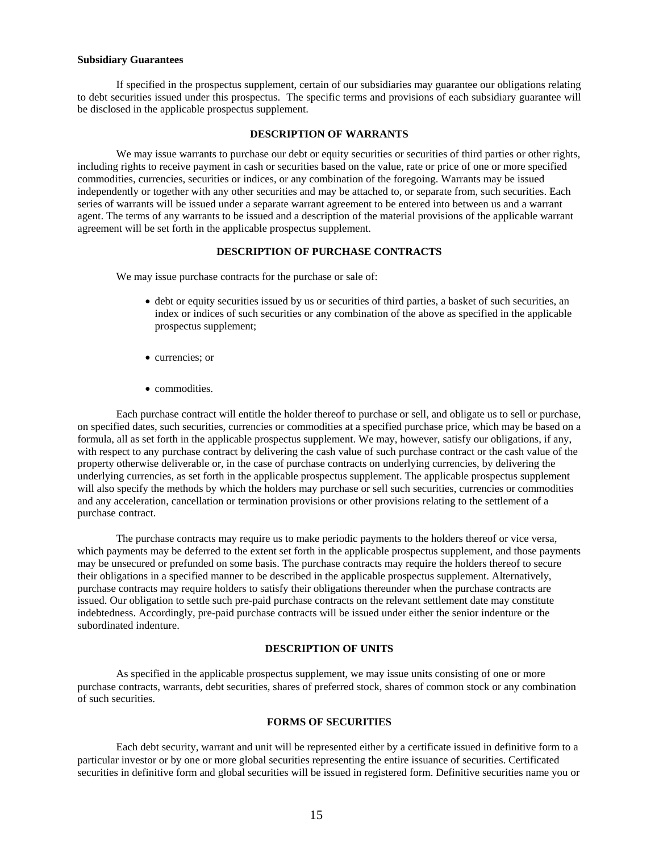#### **Subsidiary Guarantees**

If specified in the prospectus supplement, certain of our subsidiaries may guarantee our obligations relating to debt securities issued under this prospectus. The specific terms and provisions of each subsidiary guarantee will be disclosed in the applicable prospectus supplement.

#### **DESCRIPTION OF WARRANTS**

We may issue warrants to purchase our debt or equity securities or securities of third parties or other rights, including rights to receive payment in cash or securities based on the value, rate or price of one or more specified commodities, currencies, securities or indices, or any combination of the foregoing. Warrants may be issued independently or together with any other securities and may be attached to, or separate from, such securities. Each series of warrants will be issued under a separate warrant agreement to be entered into between us and a warrant agent. The terms of any warrants to be issued and a description of the material provisions of the applicable warrant agreement will be set forth in the applicable prospectus supplement.

#### **DESCRIPTION OF PURCHASE CONTRACTS**

We may issue purchase contracts for the purchase or sale of:

- debt or equity securities issued by us or securities of third parties, a basket of such securities, an index or indices of such securities or any combination of the above as specified in the applicable prospectus supplement;
- currencies; or
- commodities.

 Each purchase contract will entitle the holder thereof to purchase or sell, and obligate us to sell or purchase, on specified dates, such securities, currencies or commodities at a specified purchase price, which may be based on a formula, all as set forth in the applicable prospectus supplement. We may, however, satisfy our obligations, if any, with respect to any purchase contract by delivering the cash value of such purchase contract or the cash value of the property otherwise deliverable or, in the case of purchase contracts on underlying currencies, by delivering the underlying currencies, as set forth in the applicable prospectus supplement. The applicable prospectus supplement will also specify the methods by which the holders may purchase or sell such securities, currencies or commodities and any acceleration, cancellation or termination provisions or other provisions relating to the settlement of a purchase contract.

 The purchase contracts may require us to make periodic payments to the holders thereof or vice versa, which payments may be deferred to the extent set forth in the applicable prospectus supplement, and those payments may be unsecured or prefunded on some basis. The purchase contracts may require the holders thereof to secure their obligations in a specified manner to be described in the applicable prospectus supplement. Alternatively, purchase contracts may require holders to satisfy their obligations thereunder when the purchase contracts are issued. Our obligation to settle such pre-paid purchase contracts on the relevant settlement date may constitute indebtedness. Accordingly, pre-paid purchase contracts will be issued under either the senior indenture or the subordinated indenture.

#### **DESCRIPTION OF UNITS**

 As specified in the applicable prospectus supplement, we may issue units consisting of one or more purchase contracts, warrants, debt securities, shares of preferred stock, shares of common stock or any combination of such securities.

#### **FORMS OF SECURITIES**

 Each debt security, warrant and unit will be represented either by a certificate issued in definitive form to a particular investor or by one or more global securities representing the entire issuance of securities. Certificated securities in definitive form and global securities will be issued in registered form. Definitive securities name you or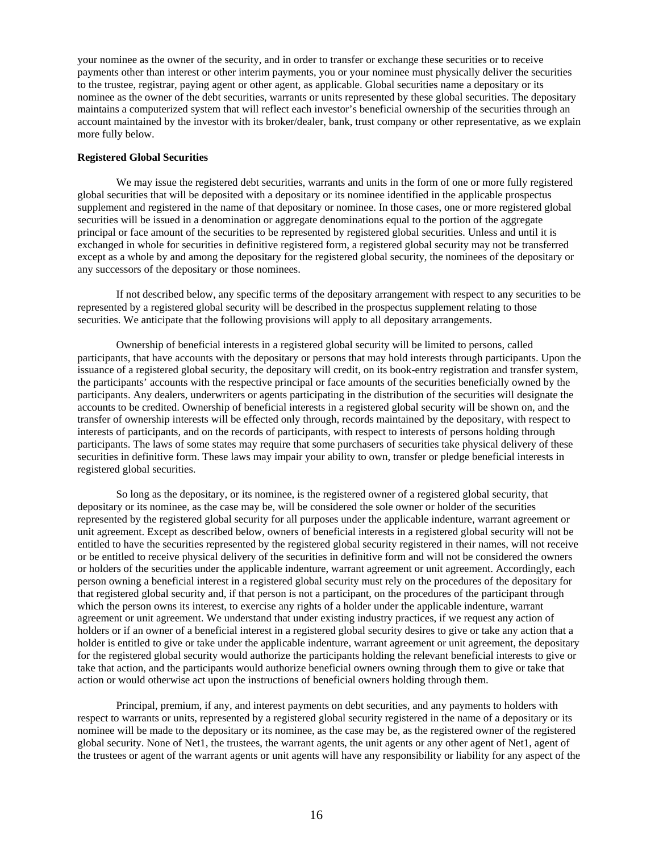your nominee as the owner of the security, and in order to transfer or exchange these securities or to receive payments other than interest or other interim payments, you or your nominee must physically deliver the securities to the trustee, registrar, paying agent or other agent, as applicable. Global securities name a depositary or its nominee as the owner of the debt securities, warrants or units represented by these global securities. The depositary maintains a computerized system that will reflect each investor's beneficial ownership of the securities through an account maintained by the investor with its broker/dealer, bank, trust company or other representative, as we explain more fully below.

#### **Registered Global Securities**

We may issue the registered debt securities, warrants and units in the form of one or more fully registered global securities that will be deposited with a depositary or its nominee identified in the applicable prospectus supplement and registered in the name of that depositary or nominee. In those cases, one or more registered global securities will be issued in a denomination or aggregate denominations equal to the portion of the aggregate principal or face amount of the securities to be represented by registered global securities. Unless and until it is exchanged in whole for securities in definitive registered form, a registered global security may not be transferred except as a whole by and among the depositary for the registered global security, the nominees of the depositary or any successors of the depositary or those nominees.

 If not described below, any specific terms of the depositary arrangement with respect to any securities to be represented by a registered global security will be described in the prospectus supplement relating to those securities. We anticipate that the following provisions will apply to all depositary arrangements.

 Ownership of beneficial interests in a registered global security will be limited to persons, called participants, that have accounts with the depositary or persons that may hold interests through participants. Upon the issuance of a registered global security, the depositary will credit, on its book-entry registration and transfer system, the participants' accounts with the respective principal or face amounts of the securities beneficially owned by the participants. Any dealers, underwriters or agents participating in the distribution of the securities will designate the accounts to be credited. Ownership of beneficial interests in a registered global security will be shown on, and the transfer of ownership interests will be effected only through, records maintained by the depositary, with respect to interests of participants, and on the records of participants, with respect to interests of persons holding through participants. The laws of some states may require that some purchasers of securities take physical delivery of these securities in definitive form. These laws may impair your ability to own, transfer or pledge beneficial interests in registered global securities.

 So long as the depositary, or its nominee, is the registered owner of a registered global security, that depositary or its nominee, as the case may be, will be considered the sole owner or holder of the securities represented by the registered global security for all purposes under the applicable indenture, warrant agreement or unit agreement. Except as described below, owners of beneficial interests in a registered global security will not be entitled to have the securities represented by the registered global security registered in their names, will not receive or be entitled to receive physical delivery of the securities in definitive form and will not be considered the owners or holders of the securities under the applicable indenture, warrant agreement or unit agreement. Accordingly, each person owning a beneficial interest in a registered global security must rely on the procedures of the depositary for that registered global security and, if that person is not a participant, on the procedures of the participant through which the person owns its interest, to exercise any rights of a holder under the applicable indenture, warrant agreement or unit agreement. We understand that under existing industry practices, if we request any action of holders or if an owner of a beneficial interest in a registered global security desires to give or take any action that a holder is entitled to give or take under the applicable indenture, warrant agreement or unit agreement, the depositary for the registered global security would authorize the participants holding the relevant beneficial interests to give or take that action, and the participants would authorize beneficial owners owning through them to give or take that action or would otherwise act upon the instructions of beneficial owners holding through them.

 Principal, premium, if any, and interest payments on debt securities, and any payments to holders with respect to warrants or units, represented by a registered global security registered in the name of a depositary or its nominee will be made to the depositary or its nominee, as the case may be, as the registered owner of the registered global security. None of Net1, the trustees, the warrant agents, the unit agents or any other agent of Net1, agent of the trustees or agent of the warrant agents or unit agents will have any responsibility or liability for any aspect of the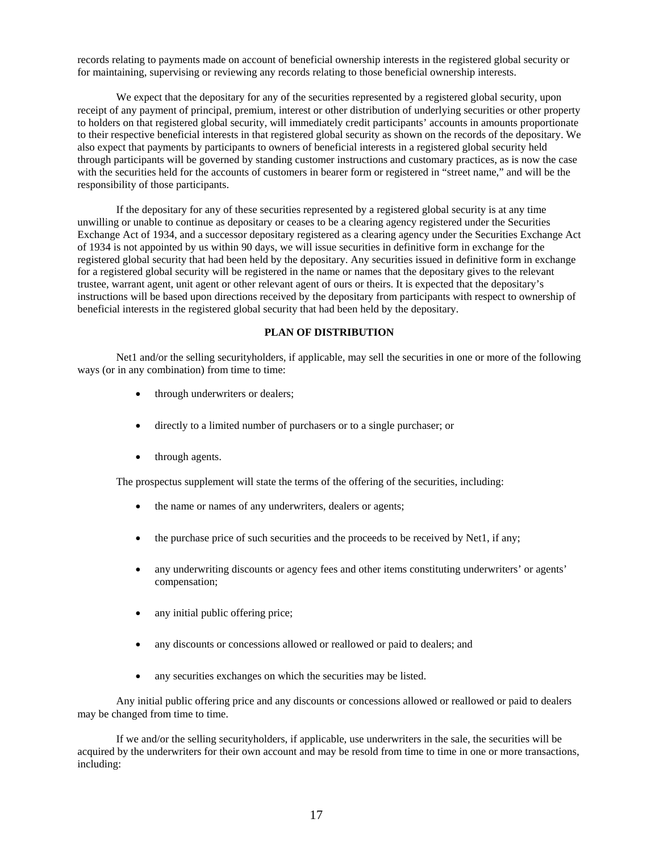records relating to payments made on account of beneficial ownership interests in the registered global security or for maintaining, supervising or reviewing any records relating to those beneficial ownership interests.

 We expect that the depositary for any of the securities represented by a registered global security, upon receipt of any payment of principal, premium, interest or other distribution of underlying securities or other property to holders on that registered global security, will immediately credit participants' accounts in amounts proportionate to their respective beneficial interests in that registered global security as shown on the records of the depositary. We also expect that payments by participants to owners of beneficial interests in a registered global security held through participants will be governed by standing customer instructions and customary practices, as is now the case with the securities held for the accounts of customers in bearer form or registered in "street name," and will be the responsibility of those participants.

 If the depositary for any of these securities represented by a registered global security is at any time unwilling or unable to continue as depositary or ceases to be a clearing agency registered under the Securities Exchange Act of 1934, and a successor depositary registered as a clearing agency under the Securities Exchange Act of 1934 is not appointed by us within 90 days, we will issue securities in definitive form in exchange for the registered global security that had been held by the depositary. Any securities issued in definitive form in exchange for a registered global security will be registered in the name or names that the depositary gives to the relevant trustee, warrant agent, unit agent or other relevant agent of ours or theirs. It is expected that the depositary's instructions will be based upon directions received by the depositary from participants with respect to ownership of beneficial interests in the registered global security that had been held by the depositary.

#### **PLAN OF DISTRIBUTION**

 Net1 and/or the selling securityholders, if applicable, may sell the securities in one or more of the following ways (or in any combination) from time to time:

- through underwriters or dealers;
- directly to a limited number of purchasers or to a single purchaser; or
- through agents.

The prospectus supplement will state the terms of the offering of the securities, including:

- the name or names of any underwriters, dealers or agents;
- the purchase price of such securities and the proceeds to be received by Net1, if any;
- any underwriting discounts or agency fees and other items constituting underwriters' or agents' compensation;
- any initial public offering price;
- any discounts or concessions allowed or reallowed or paid to dealers; and
- any securities exchanges on which the securities may be listed.

 Any initial public offering price and any discounts or concessions allowed or reallowed or paid to dealers may be changed from time to time.

 If we and/or the selling securityholders, if applicable, use underwriters in the sale, the securities will be acquired by the underwriters for their own account and may be resold from time to time in one or more transactions, including: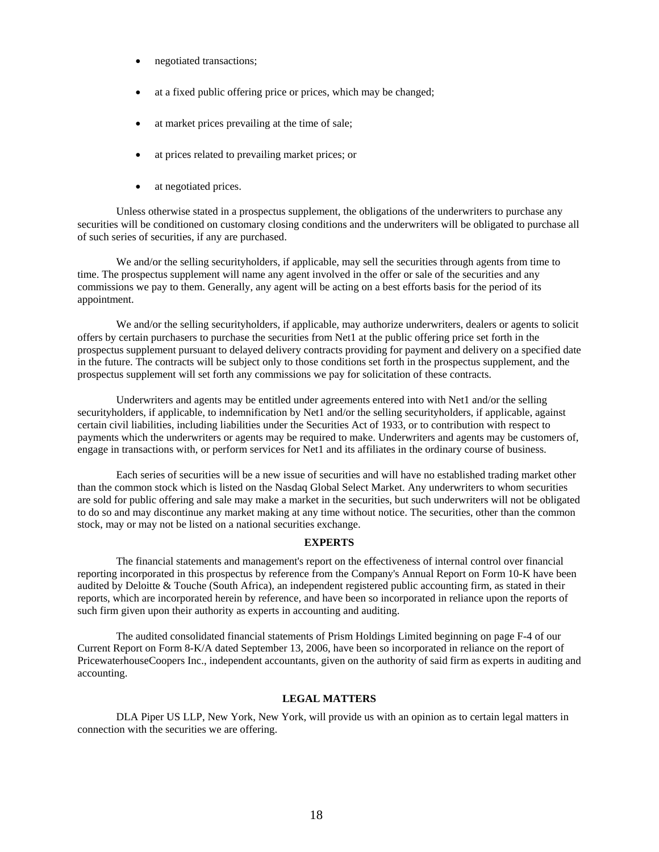- negotiated transactions;
- at a fixed public offering price or prices, which may be changed;
- at market prices prevailing at the time of sale;
- at prices related to prevailing market prices; or
- at negotiated prices.

 Unless otherwise stated in a prospectus supplement, the obligations of the underwriters to purchase any securities will be conditioned on customary closing conditions and the underwriters will be obligated to purchase all of such series of securities, if any are purchased.

We and/or the selling securityholders, if applicable, may sell the securities through agents from time to time. The prospectus supplement will name any agent involved in the offer or sale of the securities and any commissions we pay to them. Generally, any agent will be acting on a best efforts basis for the period of its appointment.

 We and/or the selling securityholders, if applicable, may authorize underwriters, dealers or agents to solicit offers by certain purchasers to purchase the securities from Net1 at the public offering price set forth in the prospectus supplement pursuant to delayed delivery contracts providing for payment and delivery on a specified date in the future. The contracts will be subject only to those conditions set forth in the prospectus supplement, and the prospectus supplement will set forth any commissions we pay for solicitation of these contracts.

 Underwriters and agents may be entitled under agreements entered into with Net1 and/or the selling securityholders, if applicable, to indemnification by Net1 and/or the selling securityholders, if applicable, against certain civil liabilities, including liabilities under the Securities Act of 1933, or to contribution with respect to payments which the underwriters or agents may be required to make. Underwriters and agents may be customers of, engage in transactions with, or perform services for Net1 and its affiliates in the ordinary course of business.

 Each series of securities will be a new issue of securities and will have no established trading market other than the common stock which is listed on the Nasdaq Global Select Market. Any underwriters to whom securities are sold for public offering and sale may make a market in the securities, but such underwriters will not be obligated to do so and may discontinue any market making at any time without notice. The securities, other than the common stock, may or may not be listed on a national securities exchange.

#### **EXPERTS**

The financial statements and management's report on the effectiveness of internal control over financial reporting incorporated in this prospectus by reference from the Company's Annual Report on Form 10-K have been audited by Deloitte & Touche (South Africa), an independent registered public accounting firm, as stated in their reports, which are incorporated herein by reference, and have been so incorporated in reliance upon the reports of such firm given upon their authority as experts in accounting and auditing.

The audited consolidated financial statements of Prism Holdings Limited beginning on page F-4 of our Current Report on Form 8-K/A dated September 13, 2006, have been so incorporated in reliance on the report of PricewaterhouseCoopers Inc., independent accountants, given on the authority of said firm as experts in auditing and accounting.

#### **LEGAL MATTERS**

DLA Piper US LLP, New York, New York, will provide us with an opinion as to certain legal matters in connection with the securities we are offering.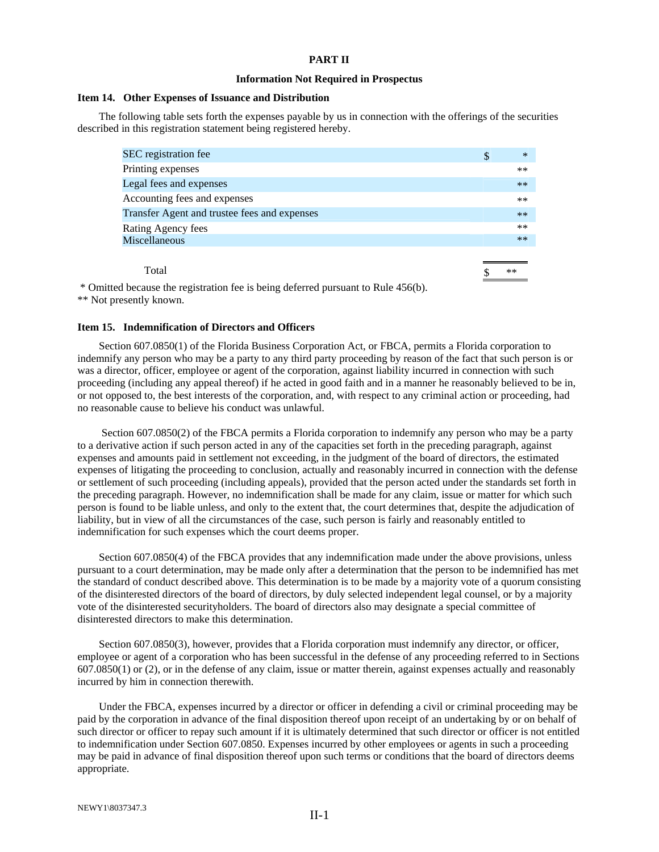#### **PART II**

#### **Information Not Required in Prospectus**

#### **Item 14. Other Expenses of Issuance and Distribution**

The following table sets forth the expenses payable by us in connection with the offerings of the securities described in this registration statement being registered hereby.

| SEC registration fee                         | \$<br>$\ast$ |
|----------------------------------------------|--------------|
| Printing expenses                            | $***$        |
| Legal fees and expenses                      | $***$        |
| Accounting fees and expenses                 | $***$        |
| Transfer Agent and trustee fees and expenses | $***$        |
| Rating Agency fees                           | $***$        |
| Miscellaneous                                | $***$        |
|                                              |              |
| Total                                        | $**$         |

\* Omitted because the registration fee is being deferred pursuant to Rule 456(b).

\*\* Not presently known.

#### **Item 15. Indemnification of Directors and Officers**

Section 607.0850(1) of the Florida Business Corporation Act, or FBCA, permits a Florida corporation to indemnify any person who may be a party to any third party proceeding by reason of the fact that such person is or was a director, officer, employee or agent of the corporation, against liability incurred in connection with such proceeding (including any appeal thereof) if he acted in good faith and in a manner he reasonably believed to be in, or not opposed to, the best interests of the corporation, and, with respect to any criminal action or proceeding, had no reasonable cause to believe his conduct was unlawful.

 Section 607.0850(2) of the FBCA permits a Florida corporation to indemnify any person who may be a party to a derivative action if such person acted in any of the capacities set forth in the preceding paragraph, against expenses and amounts paid in settlement not exceeding, in the judgment of the board of directors, the estimated expenses of litigating the proceeding to conclusion, actually and reasonably incurred in connection with the defense or settlement of such proceeding (including appeals), provided that the person acted under the standards set forth in the preceding paragraph. However, no indemnification shall be made for any claim, issue or matter for which such person is found to be liable unless, and only to the extent that, the court determines that, despite the adjudication of liability, but in view of all the circumstances of the case, such person is fairly and reasonably entitled to indemnification for such expenses which the court deems proper.

Section 607.0850(4) of the FBCA provides that any indemnification made under the above provisions, unless pursuant to a court determination, may be made only after a determination that the person to be indemnified has met the standard of conduct described above. This determination is to be made by a majority vote of a quorum consisting of the disinterested directors of the board of directors, by duly selected independent legal counsel, or by a majority vote of the disinterested securityholders. The board of directors also may designate a special committee of disinterested directors to make this determination.

Section 607.0850(3), however, provides that a Florida corporation must indemnify any director, or officer, employee or agent of a corporation who has been successful in the defense of any proceeding referred to in Sections 607.0850(1) or (2), or in the defense of any claim, issue or matter therein, against expenses actually and reasonably incurred by him in connection therewith.

Under the FBCA, expenses incurred by a director or officer in defending a civil or criminal proceeding may be paid by the corporation in advance of the final disposition thereof upon receipt of an undertaking by or on behalf of such director or officer to repay such amount if it is ultimately determined that such director or officer is not entitled to indemnification under Section 607.0850. Expenses incurred by other employees or agents in such a proceeding may be paid in advance of final disposition thereof upon such terms or conditions that the board of directors deems appropriate.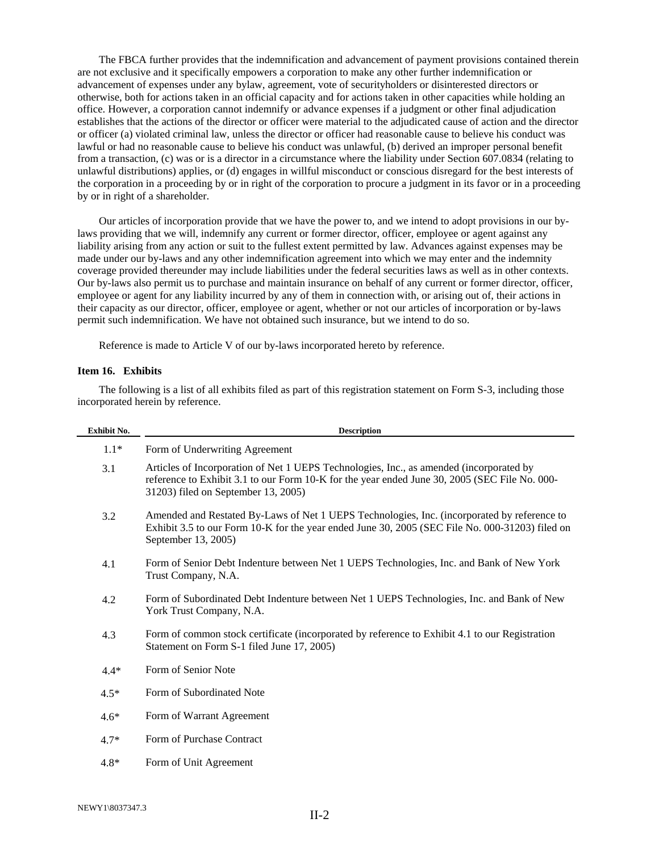The FBCA further provides that the indemnification and advancement of payment provisions contained therein are not exclusive and it specifically empowers a corporation to make any other further indemnification or advancement of expenses under any bylaw, agreement, vote of securityholders or disinterested directors or otherwise, both for actions taken in an official capacity and for actions taken in other capacities while holding an office. However, a corporation cannot indemnify or advance expenses if a judgment or other final adjudication establishes that the actions of the director or officer were material to the adjudicated cause of action and the director or officer (a) violated criminal law, unless the director or officer had reasonable cause to believe his conduct was lawful or had no reasonable cause to believe his conduct was unlawful, (b) derived an improper personal benefit from a transaction, (c) was or is a director in a circumstance where the liability under Section 607.0834 (relating to unlawful distributions) applies, or (d) engages in willful misconduct or conscious disregard for the best interests of the corporation in a proceeding by or in right of the corporation to procure a judgment in its favor or in a proceeding by or in right of a shareholder.

Our articles of incorporation provide that we have the power to, and we intend to adopt provisions in our bylaws providing that we will, indemnify any current or former director, officer, employee or agent against any liability arising from any action or suit to the fullest extent permitted by law. Advances against expenses may be made under our by-laws and any other indemnification agreement into which we may enter and the indemnity coverage provided thereunder may include liabilities under the federal securities laws as well as in other contexts. Our by-laws also permit us to purchase and maintain insurance on behalf of any current or former director, officer, employee or agent for any liability incurred by any of them in connection with, or arising out of, their actions in their capacity as our director, officer, employee or agent, whether or not our articles of incorporation or by-laws permit such indemnification. We have not obtained such insurance, but we intend to do so.

Reference is made to Article V of our by-laws incorporated hereto by reference.

#### **Item 16. Exhibits**

The following is a list of all exhibits filed as part of this registration statement on Form S-3, including those incorporated herein by reference.

| Exhibit No. | <b>Description</b>                                                                                                                                                                                                              |
|-------------|---------------------------------------------------------------------------------------------------------------------------------------------------------------------------------------------------------------------------------|
| $1.1*$      | Form of Underwriting Agreement                                                                                                                                                                                                  |
| 3.1         | Articles of Incorporation of Net 1 UEPS Technologies, Inc., as amended (incorporated by<br>reference to Exhibit 3.1 to our Form 10-K for the year ended June 30, 2005 (SEC File No. 000-<br>31203) filed on September 13, 2005) |
| 3.2         | Amended and Restated By-Laws of Net 1 UEPS Technologies, Inc. (incorporated by reference to<br>Exhibit 3.5 to our Form 10-K for the year ended June 30, 2005 (SEC File No. 000-31203) filed on<br>September 13, 2005)           |
| 4.1         | Form of Senior Debt Indenture between Net 1 UEPS Technologies, Inc. and Bank of New York<br>Trust Company, N.A.                                                                                                                 |
| 4.2         | Form of Subordinated Debt Indenture between Net 1 UEPS Technologies, Inc. and Bank of New<br>York Trust Company, N.A.                                                                                                           |
| 4.3         | Form of common stock certificate (incorporated by reference to Exhibit 4.1 to our Registration<br>Statement on Form S-1 filed June 17, 2005)                                                                                    |
| $4.4*$      | Form of Senior Note                                                                                                                                                                                                             |
| $4.5*$      | Form of Subordinated Note                                                                                                                                                                                                       |
| $4.6*$      | Form of Warrant Agreement                                                                                                                                                                                                       |
| $4.7*$      | Form of Purchase Contract                                                                                                                                                                                                       |
| $4.8*$      | Form of Unit Agreement                                                                                                                                                                                                          |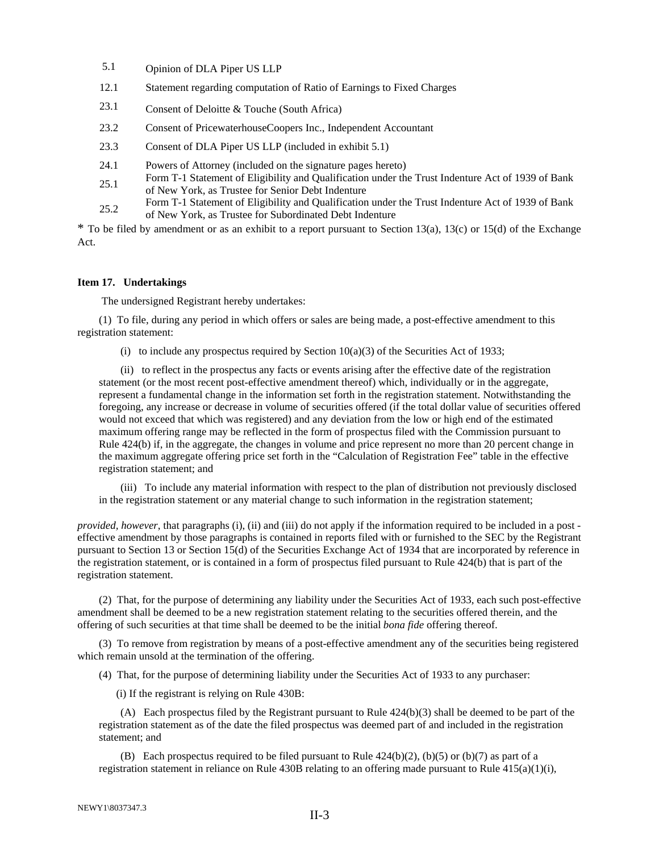- 5.1 Opinion of DLA Piper US LLP
- 12.1 Statement regarding computation of Ratio of Earnings to Fixed Charges
- 23.1 Consent of Deloitte & Touche (South Africa)
- 23.2 Consent of PricewaterhouseCoopers Inc., Independent Accountant
- 23.3 Consent of DLA Piper US LLP (included in exhibit 5.1)
- 24.1 Powers of Attorney (included on the signature pages hereto)
- 25.1 Form T-1 Statement of Eligibility and Qualification under the Trust Indenture Act of 1939 of Bank of New York, as Trustee for Senior Debt Indenture
- 25.2 Form T-1 Statement of Eligibility and Qualification under the Trust Indenture Act of 1939 of Bank of New York, as Trustee for Subordinated Debt Indenture

\* To be filed by amendment or as an exhibit to a report pursuant to Section 13(a), 13(c) or 15(d) of the Exchange Act.

#### **Item 17. Undertakings**

The undersigned Registrant hereby undertakes:

(1) To file, during any period in which offers or sales are being made, a post-effective amendment to this registration statement:

(i) to include any prospectus required by Section  $10(a)(3)$  of the Securities Act of 1933;

(ii) to reflect in the prospectus any facts or events arising after the effective date of the registration statement (or the most recent post-effective amendment thereof) which, individually or in the aggregate, represent a fundamental change in the information set forth in the registration statement. Notwithstanding the foregoing, any increase or decrease in volume of securities offered (if the total dollar value of securities offered would not exceed that which was registered) and any deviation from the low or high end of the estimated maximum offering range may be reflected in the form of prospectus filed with the Commission pursuant to Rule 424(b) if, in the aggregate, the changes in volume and price represent no more than 20 percent change in the maximum aggregate offering price set forth in the "Calculation of Registration Fee" table in the effective registration statement; and

(iii) To include any material information with respect to the plan of distribution not previously disclosed in the registration statement or any material change to such information in the registration statement;

*provided, however*, that paragraphs (i), (ii) and (iii) do not apply if the information required to be included in a post effective amendment by those paragraphs is contained in reports filed with or furnished to the SEC by the Registrant pursuant to Section 13 or Section 15(d) of the Securities Exchange Act of 1934 that are incorporated by reference in the registration statement, or is contained in a form of prospectus filed pursuant to Rule 424(b) that is part of the registration statement.

(2) That, for the purpose of determining any liability under the Securities Act of 1933, each such post-effective amendment shall be deemed to be a new registration statement relating to the securities offered therein, and the offering of such securities at that time shall be deemed to be the initial *bona fide* offering thereof.

(3) To remove from registration by means of a post-effective amendment any of the securities being registered which remain unsold at the termination of the offering.

(4) That, for the purpose of determining liability under the Securities Act of 1933 to any purchaser:

(i) If the registrant is relying on Rule 430B:

(A) Each prospectus filed by the Registrant pursuant to Rule 424(b)(3) shall be deemed to be part of the registration statement as of the date the filed prospectus was deemed part of and included in the registration statement; and

(B) Each prospectus required to be filed pursuant to Rule  $424(b)(2)$ ,  $(b)(5)$  or  $(b)(7)$  as part of a registration statement in reliance on Rule 430B relating to an offering made pursuant to Rule  $415(a)(1)(i)$ ,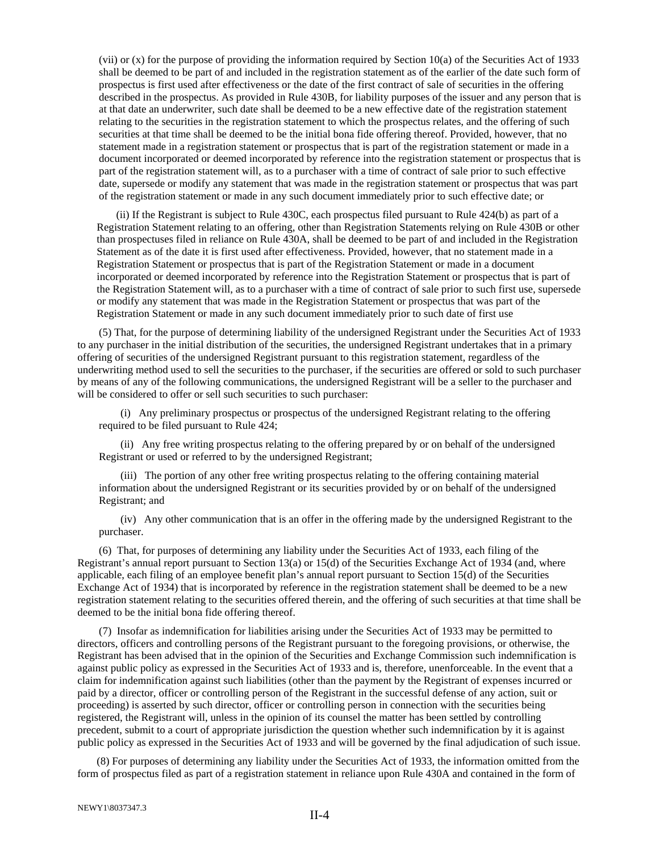(vii) or (x) for the purpose of providing the information required by Section 10(a) of the Securities Act of 1933 shall be deemed to be part of and included in the registration statement as of the earlier of the date such form of prospectus is first used after effectiveness or the date of the first contract of sale of securities in the offering described in the prospectus. As provided in Rule 430B, for liability purposes of the issuer and any person that is at that date an underwriter, such date shall be deemed to be a new effective date of the registration statement relating to the securities in the registration statement to which the prospectus relates, and the offering of such securities at that time shall be deemed to be the initial bona fide offering thereof. Provided, however, that no statement made in a registration statement or prospectus that is part of the registration statement or made in a document incorporated or deemed incorporated by reference into the registration statement or prospectus that is part of the registration statement will, as to a purchaser with a time of contract of sale prior to such effective date, supersede or modify any statement that was made in the registration statement or prospectus that was part of the registration statement or made in any such document immediately prior to such effective date; or

(ii) If the Registrant is subject to Rule 430C, each prospectus filed pursuant to Rule 424(b) as part of a Registration Statement relating to an offering, other than Registration Statements relying on Rule 430B or other than prospectuses filed in reliance on Rule 430A, shall be deemed to be part of and included in the Registration Statement as of the date it is first used after effectiveness. Provided, however, that no statement made in a Registration Statement or prospectus that is part of the Registration Statement or made in a document incorporated or deemed incorporated by reference into the Registration Statement or prospectus that is part of the Registration Statement will, as to a purchaser with a time of contract of sale prior to such first use, supersede or modify any statement that was made in the Registration Statement or prospectus that was part of the Registration Statement or made in any such document immediately prior to such date of first use

(5) That, for the purpose of determining liability of the undersigned Registrant under the Securities Act of 1933 to any purchaser in the initial distribution of the securities, the undersigned Registrant undertakes that in a primary offering of securities of the undersigned Registrant pursuant to this registration statement, regardless of the underwriting method used to sell the securities to the purchaser, if the securities are offered or sold to such purchaser by means of any of the following communications, the undersigned Registrant will be a seller to the purchaser and will be considered to offer or sell such securities to such purchaser:

(i) Any preliminary prospectus or prospectus of the undersigned Registrant relating to the offering required to be filed pursuant to Rule 424;

(ii) Any free writing prospectus relating to the offering prepared by or on behalf of the undersigned Registrant or used or referred to by the undersigned Registrant;

(iii) The portion of any other free writing prospectus relating to the offering containing material information about the undersigned Registrant or its securities provided by or on behalf of the undersigned Registrant; and

(iv) Any other communication that is an offer in the offering made by the undersigned Registrant to the purchaser.

(6) That, for purposes of determining any liability under the Securities Act of 1933, each filing of the Registrant's annual report pursuant to Section 13(a) or 15(d) of the Securities Exchange Act of 1934 (and, where applicable, each filing of an employee benefit plan's annual report pursuant to Section 15(d) of the Securities Exchange Act of 1934) that is incorporated by reference in the registration statement shall be deemed to be a new registration statement relating to the securities offered therein, and the offering of such securities at that time shall be deemed to be the initial bona fide offering thereof.

(7) Insofar as indemnification for liabilities arising under the Securities Act of 1933 may be permitted to directors, officers and controlling persons of the Registrant pursuant to the foregoing provisions, or otherwise, the Registrant has been advised that in the opinion of the Securities and Exchange Commission such indemnification is against public policy as expressed in the Securities Act of 1933 and is, therefore, unenforceable. In the event that a claim for indemnification against such liabilities (other than the payment by the Registrant of expenses incurred or paid by a director, officer or controlling person of the Registrant in the successful defense of any action, suit or proceeding) is asserted by such director, officer or controlling person in connection with the securities being registered, the Registrant will, unless in the opinion of its counsel the matter has been settled by controlling precedent, submit to a court of appropriate jurisdiction the question whether such indemnification by it is against public policy as expressed in the Securities Act of 1933 and will be governed by the final adjudication of such issue.

(8) For purposes of determining any liability under the Securities Act of 1933, the information omitted from the form of prospectus filed as part of a registration statement in reliance upon Rule 430A and contained in the form of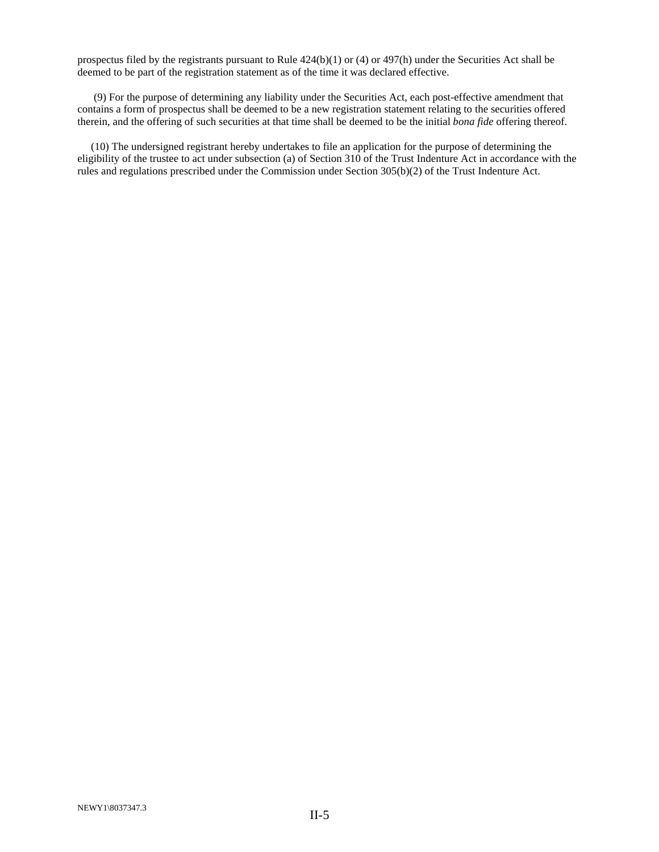prospectus filed by the registrants pursuant to Rule 424(b)(1) or (4) or 497(h) under the Securities Act shall be deemed to be part of the registration statement as of the time it was declared effective.

 (9) For the purpose of determining any liability under the Securities Act, each post-effective amendment that contains a form of prospectus shall be deemed to be a new registration statement relating to the securities offered therein, and the offering of such securities at that time shall be deemed to be the initial *bona fide* offering thereof.

 (10) The undersigned registrant hereby undertakes to file an application for the purpose of determining the eligibility of the trustee to act under subsection (a) of Section 310 of the Trust Indenture Act in accordance with the rules and regulations prescribed under the Commission under Section 305(b)(2) of the Trust Indenture Act.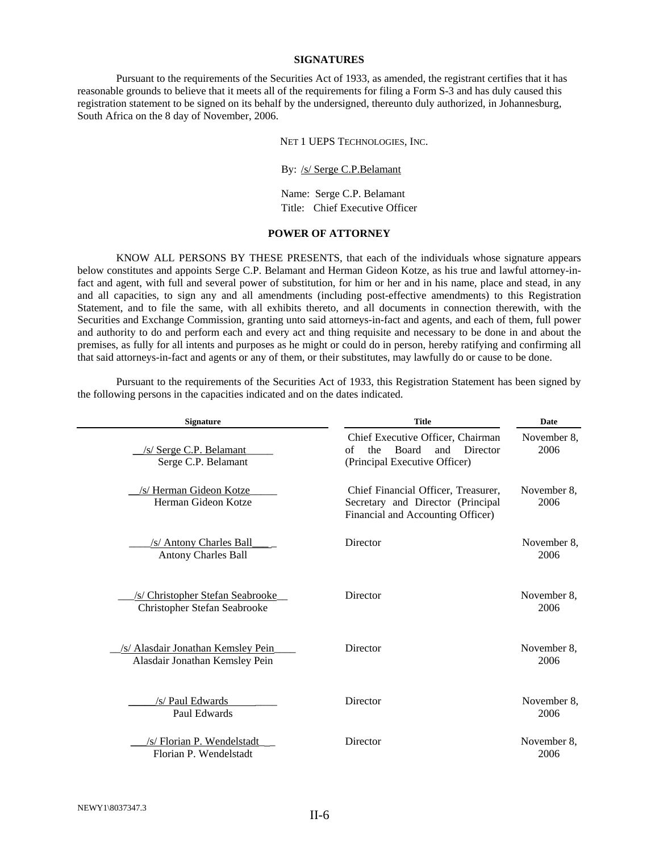#### **SIGNATURES**

 Pursuant to the requirements of the Securities Act of 1933, as amended, the registrant certifies that it has reasonable grounds to believe that it meets all of the requirements for filing a Form S-3 and has duly caused this registration statement to be signed on its behalf by the undersigned, thereunto duly authorized, in Johannesburg, South Africa on the 8 day of November, 2006.

NET 1 UEPS TECHNOLOGIES, INC.

By: /s/ Serge C.P.Belamant

 Name: Serge C.P. Belamant Title: Chief Executive Officer

#### **POWER OF ATTORNEY**

KNOW ALL PERSONS BY THESE PRESENTS, that each of the individuals whose signature appears below constitutes and appoints Serge C.P. Belamant and Herman Gideon Kotze, as his true and lawful attorney-infact and agent, with full and several power of substitution, for him or her and in his name, place and stead, in any and all capacities, to sign any and all amendments (including post-effective amendments) to this Registration Statement, and to file the same, with all exhibits thereto, and all documents in connection therewith, with the Securities and Exchange Commission, granting unto said attorneys-in-fact and agents, and each of them, full power and authority to do and perform each and every act and thing requisite and necessary to be done in and about the premises, as fully for all intents and purposes as he might or could do in person, hereby ratifying and confirming all that said attorneys-in-fact and agents or any of them, or their substitutes, may lawfully do or cause to be done.

Pursuant to the requirements of the Securities Act of 1933, this Registration Statement has been signed by the following persons in the capacities indicated and on the dates indicated.

| <b>Signature</b>                                                     | <b>Title</b>                                                                                                       | Date                |
|----------------------------------------------------------------------|--------------------------------------------------------------------------------------------------------------------|---------------------|
| /s/ Serge C.P. Belamant<br>Serge C.P. Belamant                       | Chief Executive Officer, Chairman<br><b>Board</b><br>Director<br>the<br>and<br>of<br>(Principal Executive Officer) | November 8,<br>2006 |
| /s/ Herman Gideon Kotze<br>Herman Gideon Kotze                       | Chief Financial Officer, Treasurer,<br>Secretary and Director (Principal<br>Financial and Accounting Officer)      | November 8,<br>2006 |
| /s/ Antony Charles Ball<br><b>Antony Charles Ball</b>                | Director                                                                                                           | November 8,<br>2006 |
| /s/ Christopher Stefan Seabrooke<br>Christopher Stefan Seabrooke     | Director                                                                                                           | November 8,<br>2006 |
| /s/ Alasdair Jonathan Kemsley Pein<br>Alasdair Jonathan Kemsley Pein | Director                                                                                                           | November 8.<br>2006 |
| /s/ Paul Edwards<br>Paul Edwards                                     | Director                                                                                                           | November 8,<br>2006 |
| /s/ Florian P. Wendelstadt<br>Florian P. Wendelstadt                 | Director                                                                                                           | November 8.<br>2006 |